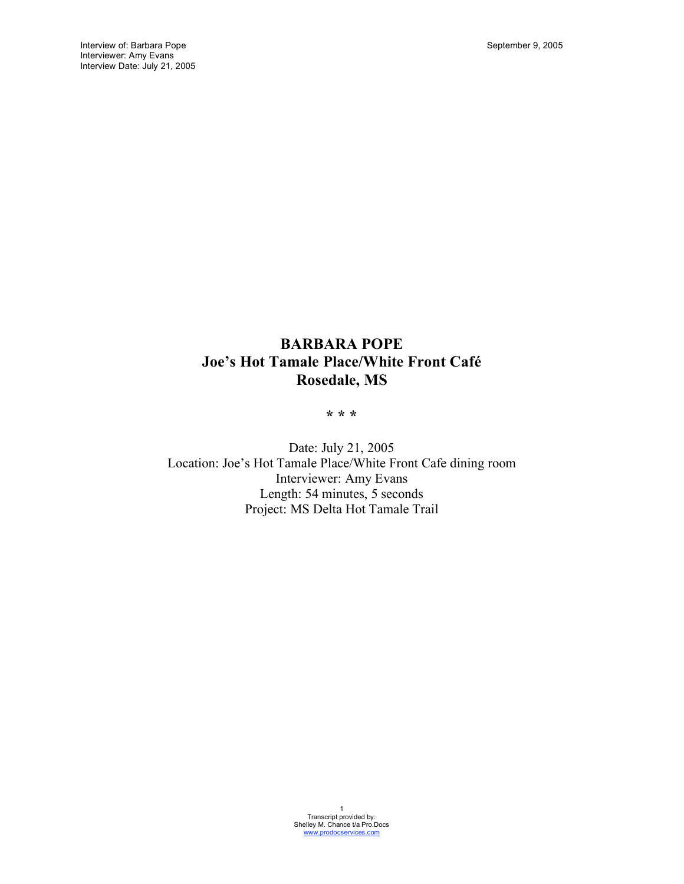# **BARBARA POPE Joe's Hot Tamale Place/White Front Café Rosedale, MS**

**\* \* \***

Date: July 21, 2005 Location: Joe's Hot Tamale Place/White Front Cafe dining room Interviewer: Amy Evans Length: 54 minutes, 5 seconds Project: MS Delta Hot Tamale Trail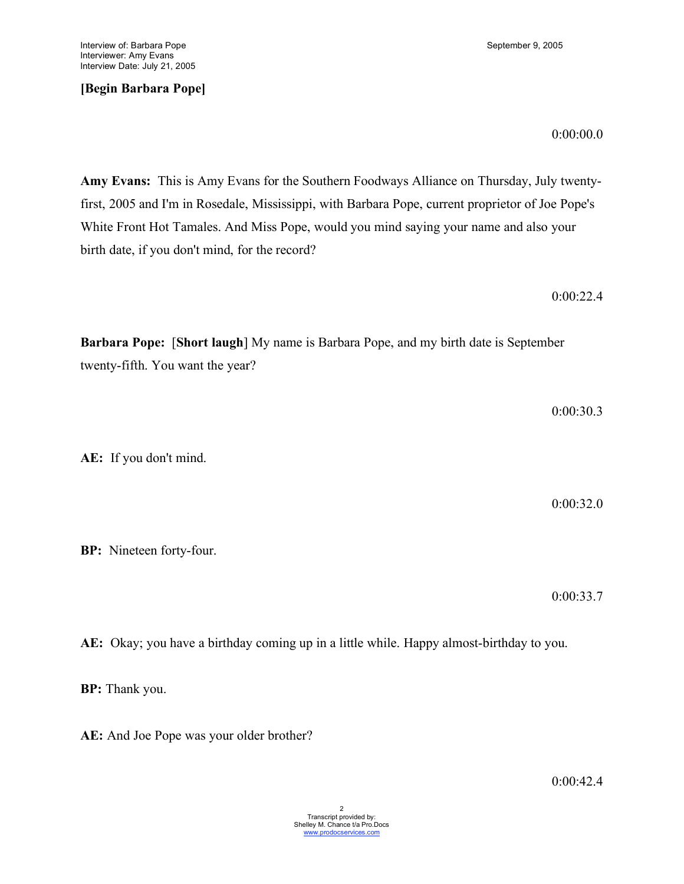# **[Begin Barbara Pope]**

**Amy Evans:** This is Amy Evans for the Southern Foodways Alliance on Thursday, July twentyfirst, 2005 and I'm in Rosedale, Mississippi, with Barbara Pope, current proprietor of Joe Pope's White Front Hot Tamales. And Miss Pope, would you mind saying your name and also your birth date, if you don't mind, for the record?

**Barbara Pope:** [**Short laugh**] My name is Barbara Pope, and my birth date is September twenty-fifth. You want the year?

**AE:** If you don't mind.

**BP:** Nineteen forty-four.

0:00:33.7

**AE:** Okay; you have a birthday coming up in a little while. Happy almost-birthday to you.

**BP:** Thank you.

**AE:** And Joe Pope was your older brother?

0:00:00.0

0:00:30.3

0:00:32.0

0:00:22.4

0:00:42.4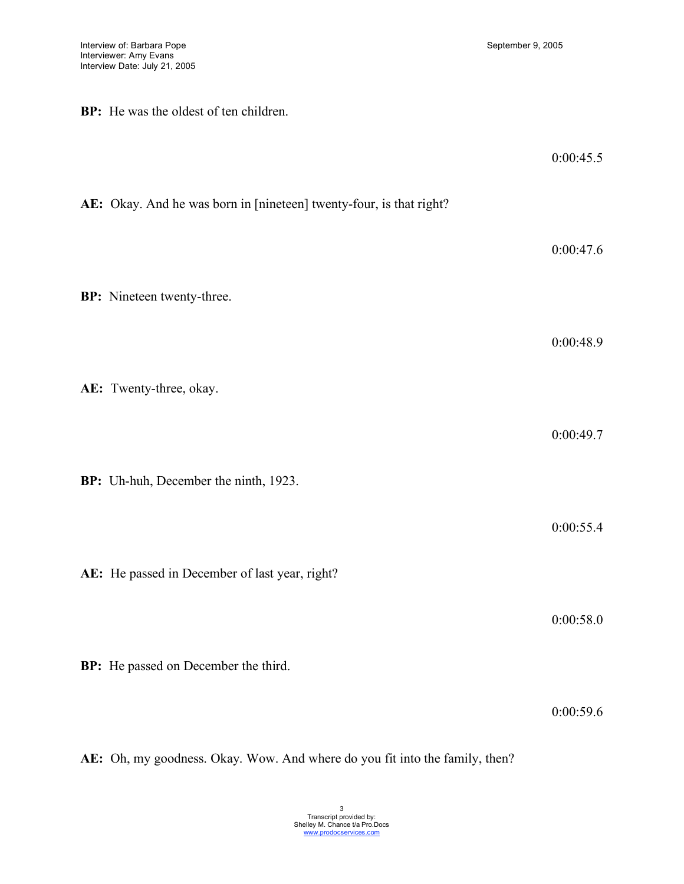**BP:** He was the oldest of ten children.

|                                                                     | 0:00:45.5 |
|---------------------------------------------------------------------|-----------|
| AE: Okay. And he was born in [nineteen] twenty-four, is that right? |           |
|                                                                     | 0:00:47.6 |
| BP: Nineteen twenty-three.                                          |           |
|                                                                     | 0:00:48.9 |
| AE: Twenty-three, okay.                                             |           |
|                                                                     | 0:00:49.7 |
| BP: Uh-huh, December the ninth, 1923.                               |           |
|                                                                     | 0:00:55.4 |
| AE: He passed in December of last year, right?                      |           |
|                                                                     | 0:00:58.0 |
| BP: He passed on December the third.                                |           |
|                                                                     | 0:00:59.6 |

**AE:** Oh, my goodness. Okay. Wow. And where do you fit into the family, then?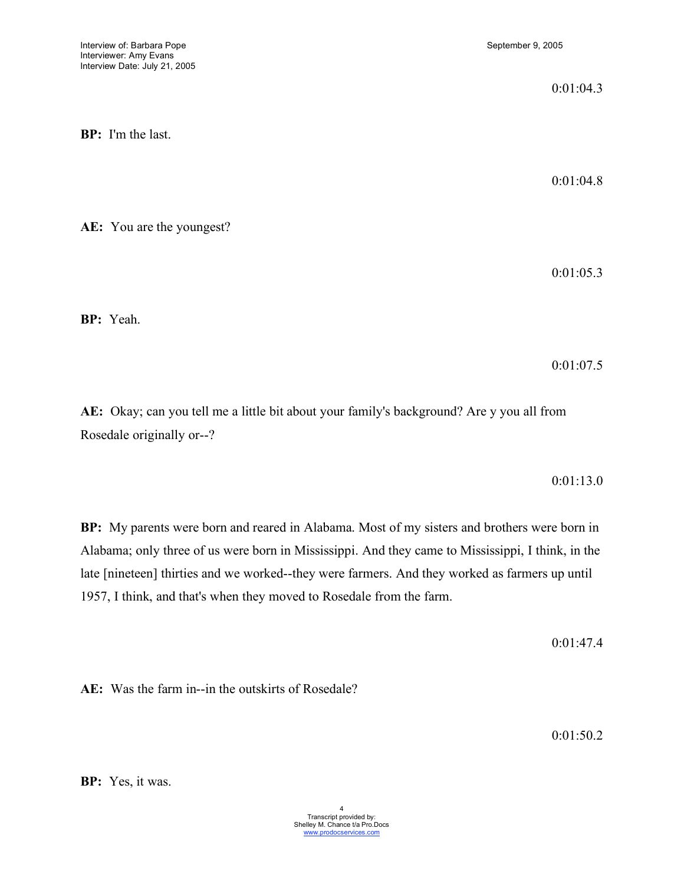0:01:04.3

**BP:** I'm the last.

**AE:** You are the youngest?

0:01:04.8

0:01:05.3

**BP:** Yeah.

0:01:07.5

**AE:** Okay; can you tell me a little bit about your family's background? Are y you all from Rosedale originally or--?

0:01:13.0

**BP:** My parents were born and reared in Alabama. Most of my sisters and brothers were born in Alabama; only three of us were born in Mississippi. And they came to Mississippi, I think, in the late [nineteen] thirties and we worked--they were farmers. And they worked as farmers up until 1957, I think, and that's when they moved to Rosedale from the farm.

0:01:47.4

**AE:** Was the farm in--in the outskirts of Rosedale?

0:01:50.2

**BP:** Yes, it was.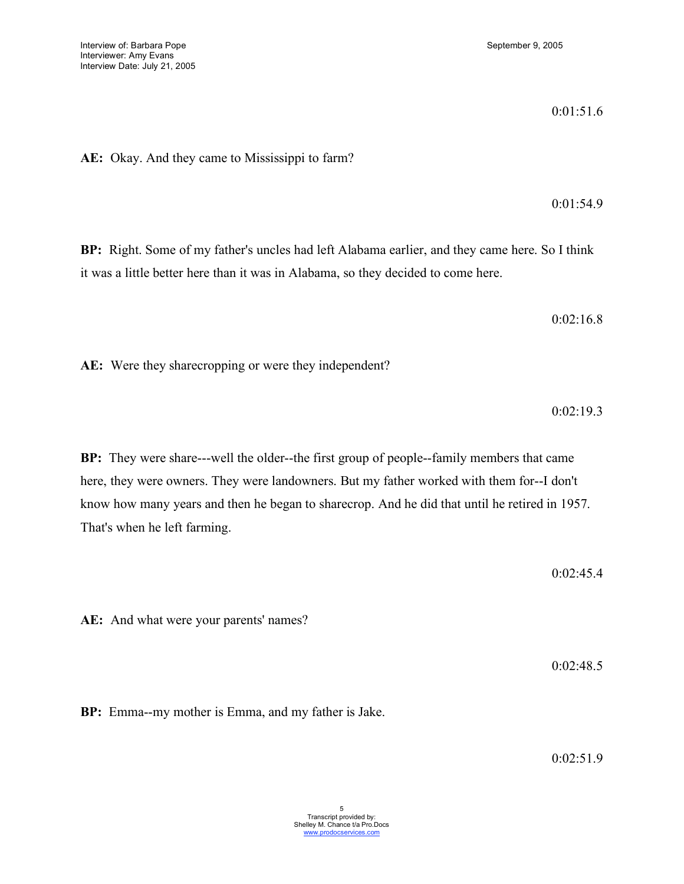0:01:51.6

**AE:** Okay. And they came to Mississippi to farm?

0:01:54.9

**BP:** Right. Some of my father's uncles had left Alabama earlier, and they came here. So I think it was a little better here than it was in Alabama, so they decided to come here.

0:02:16.8

**AE:** Were they sharecropping or were they independent?

0:02:19.3

**BP:** They were share---well the older--the first group of people--family members that came here, they were owners. They were landowners. But my father worked with them for--I don't know how many years and then he began to sharecrop. And he did that until he retired in 1957. That's when he left farming.

0:02:45.4

**AE:** And what were your parents' names?

0:02:48.5

**BP:** Emma--my mother is Emma, and my father is Jake.

0:02:51.9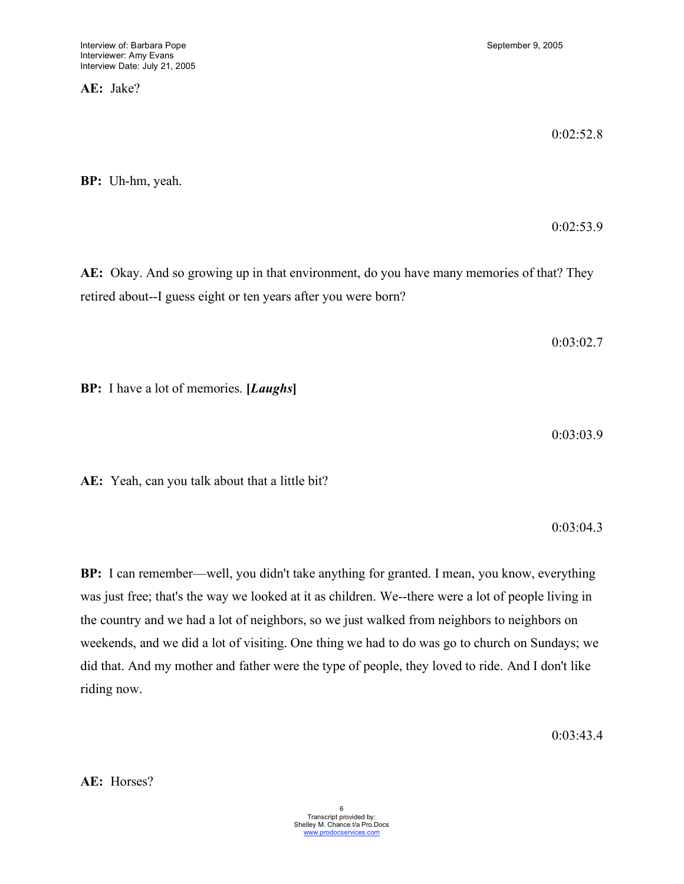**AE:** Jake?

0:02:52.8

0:02:53.9

**BP:** Uh-hm, yeah.

**AE:** Okay. And so growing up in that environment, do you have many memories of that? They retired about--I guess eight or ten years after you were born?

0:03:02.7

**BP:** I have a lot of memories. **[***Laughs***]**

0:03:03.9

**AE:** Yeah, can you talk about that a little bit?

0:03:04.3

**BP:** I can remember—well, you didn't take anything for granted. I mean, you know, everything was just free; that's the way we looked at it as children. We--there were a lot of people living in the country and we had a lot of neighbors, so we just walked from neighbors to neighbors on weekends, and we did a lot of visiting. One thing we had to do was go to church on Sundays; we did that. And my mother and father were the type of people, they loved to ride. And I don't like riding now.

0:03:43.4

**AE:** Horses?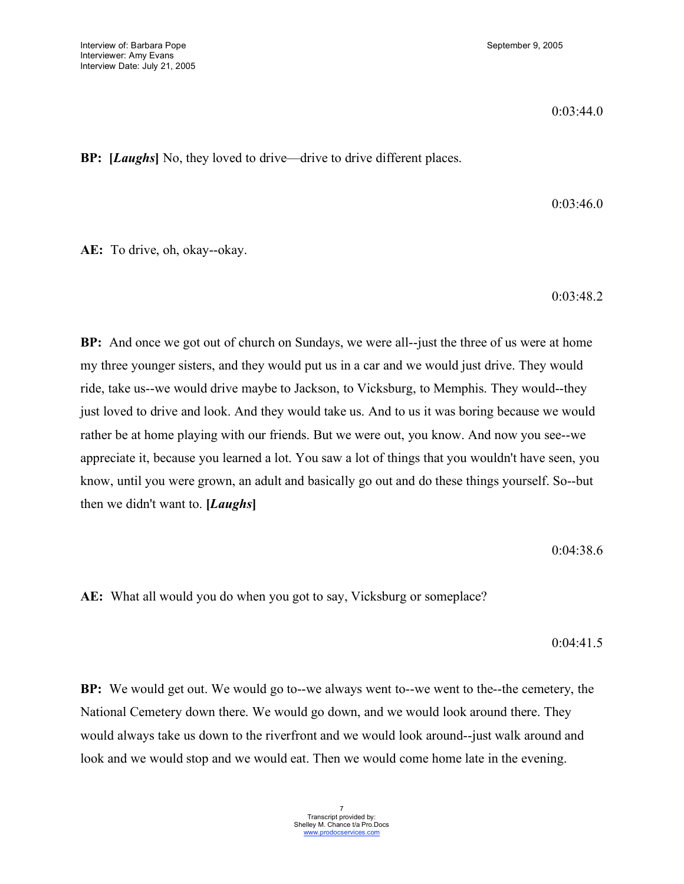0:03:44.0

**BP: [***Laughs***]** No, they loved to drive—drive to drive different places.

0:03:46.0

**AE:** To drive, oh, okay--okay.

0:03:48.2

**BP:** And once we got out of church on Sundays, we were all--just the three of us were at home my three younger sisters, and they would put us in a car and we would just drive. They would ride, take us--we would drive maybe to Jackson, to Vicksburg, to Memphis. They would--they just loved to drive and look. And they would take us. And to us it was boring because we would rather be at home playing with our friends. But we were out, you know. And now you see--we appreciate it, because you learned a lot. You saw a lot of things that you wouldn't have seen, you know, until you were grown, an adult and basically go out and do these things yourself. So--but then we didn't want to. **[***Laughs***]**

0:04:38.6

**AE:** What all would you do when you got to say, Vicksburg or someplace?

0:04:41.5

**BP:** We would get out. We would go to--we always went to--we went to the--the cemetery, the National Cemetery down there. We would go down, and we would look around there. They would always take us down to the riverfront and we would look around--just walk around and look and we would stop and we would eat. Then we would come home late in the evening.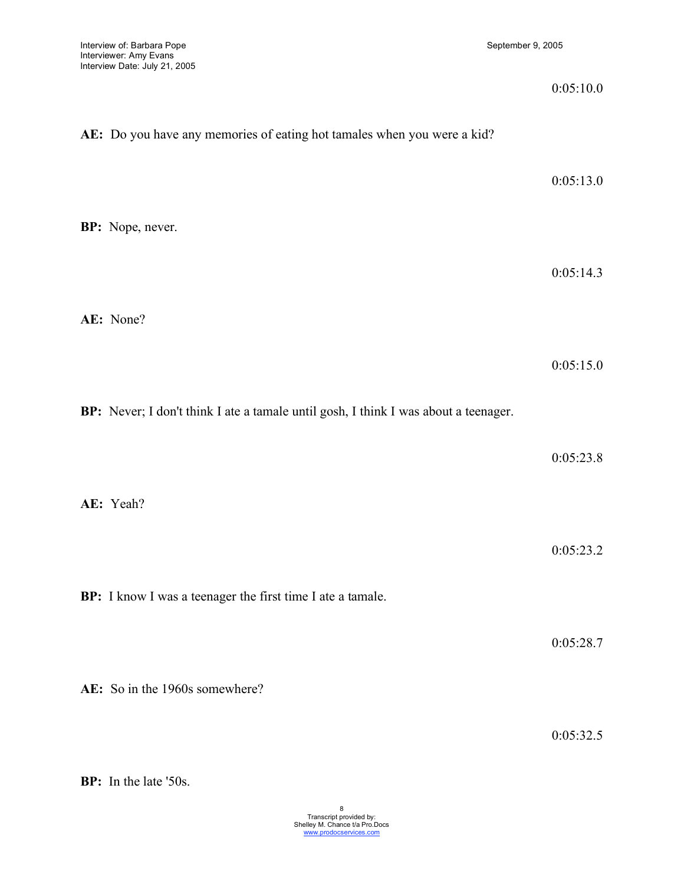|                                                                                     | 0:05:10.0 |
|-------------------------------------------------------------------------------------|-----------|
| AE: Do you have any memories of eating hot tamales when you were a kid?             |           |
|                                                                                     | 0:05:13.0 |
| BP: Nope, never.                                                                    |           |
|                                                                                     | 0:05:14.3 |
| AE: None?                                                                           |           |
|                                                                                     | 0:05:15.0 |
| BP: Never; I don't think I ate a tamale until gosh, I think I was about a teenager. |           |
|                                                                                     | 0:05:23.8 |
| AE: Yeah?                                                                           |           |
|                                                                                     | 0:05:23.2 |
| BP: I know I was a teenager the first time I ate a tamale.                          |           |
|                                                                                     | 0:05:28.7 |
| AE: So in the 1960s somewhere?                                                      |           |
|                                                                                     |           |

0:05:32.5

**BP:** In the late '50s.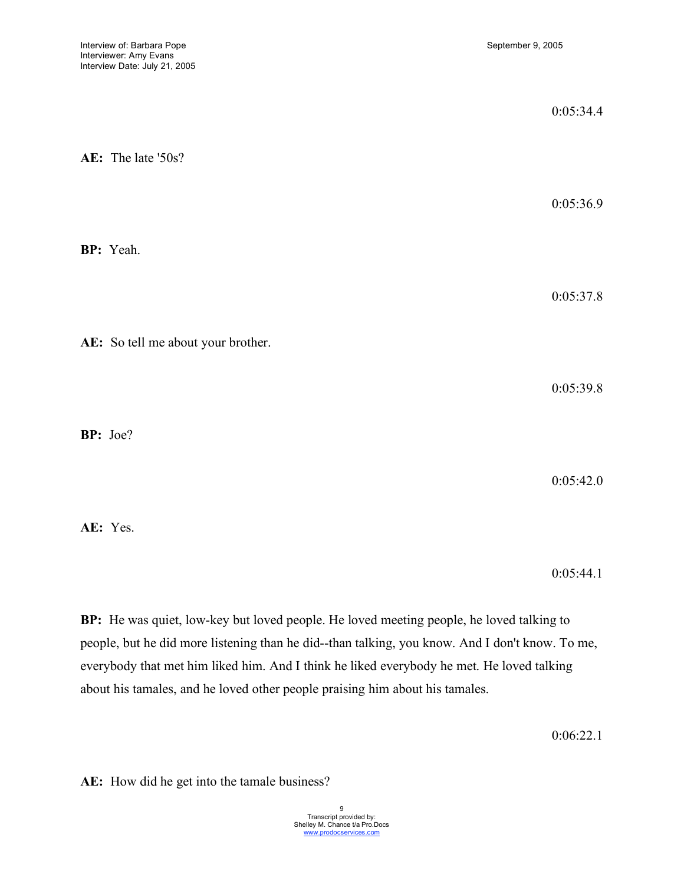|          |                                    | 0:05:34.4 |
|----------|------------------------------------|-----------|
|          | AE: The late '50s?                 | 0:05:36.9 |
|          | BP: Yeah.                          |           |
|          |                                    | 0:05:37.8 |
|          | AE: So tell me about your brother. | 0:05:39.8 |
| BP: Joe? |                                    |           |
|          |                                    | 0:05:42.0 |
|          | AE: Yes.                           |           |

0:05:44.1

**BP:** He was quiet, low-key but loved people. He loved meeting people, he loved talking to people, but he did more listening than he did--than talking, you know. And I don't know. To me, everybody that met him liked him. And I think he liked everybody he met. He loved talking about his tamales, and he loved other people praising him about his tamales.

0:06:22.1

**AE:** How did he get into the tamale business?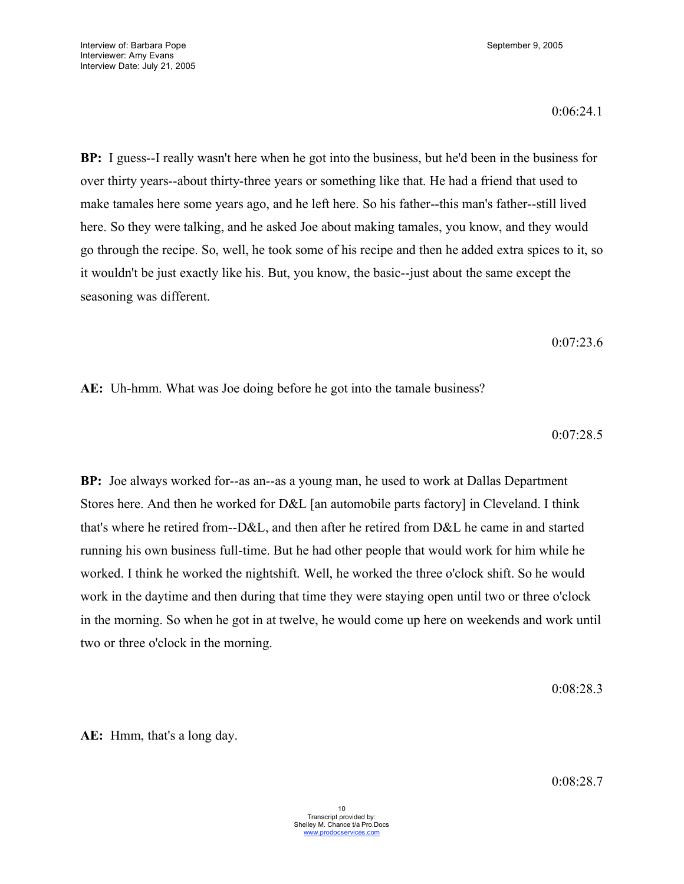0:06:24.1

**BP:** I guess--I really wasn't here when he got into the business, but he'd been in the business for over thirty years--about thirty-three years or something like that. He had a friend that used to make tamales here some years ago, and he left here. So his father--this man's father--still lived here. So they were talking, and he asked Joe about making tamales, you know, and they would go through the recipe. So, well, he took some of his recipe and then he added extra spices to it, so it wouldn't be just exactly like his. But, you know, the basic--just about the same except the seasoning was different.

0:07:23.6

**AE:** Uh-hmm. What was Joe doing before he got into the tamale business?

0:07:28.5

**BP:** Joe always worked for--as an--as a young man, he used to work at Dallas Department Stores here. And then he worked for D&L [an automobile parts factory] in Cleveland. I think that's where he retired from--D&L, and then after he retired from D&L he came in and started running his own business full-time. But he had other people that would work for him while he worked. I think he worked the nightshift. Well, he worked the three o'clock shift. So he would work in the daytime and then during that time they were staying open until two or three o'clock in the morning. So when he got in at twelve, he would come up here on weekends and work until two or three o'clock in the morning.

0:08:28.3

**AE:** Hmm, that's a long day.

0:08:28.7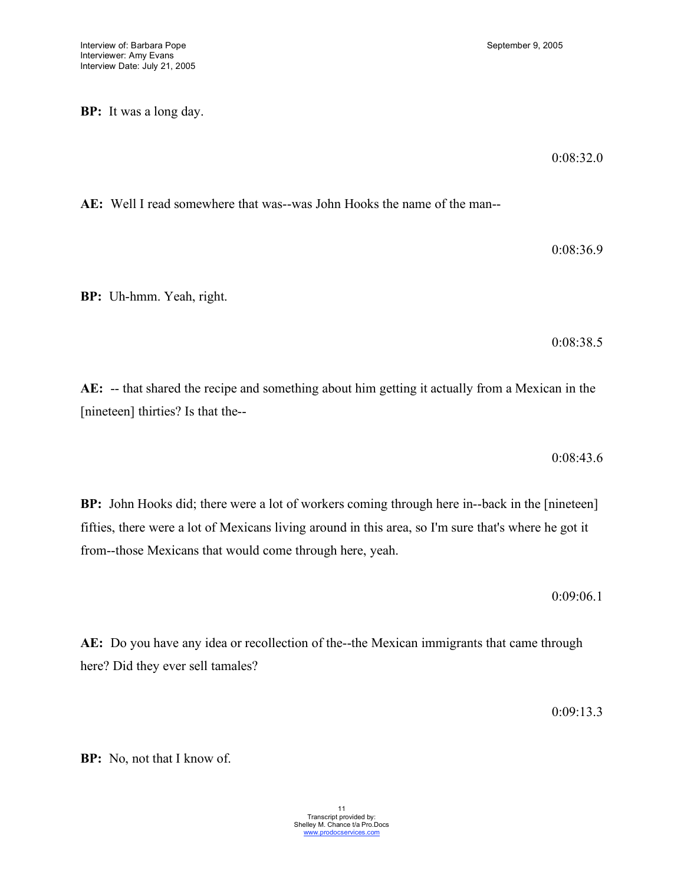**BP:** It was a long day.

0:08:32.0

**AE:** Well I read somewhere that was--was John Hooks the name of the man--

0:08:36.9

**BP:** Uh-hmm. Yeah, right.

0:08:38.5

**AE:** -- that shared the recipe and something about him getting it actually from a Mexican in the [nineteen] thirties? Is that the--

0:08:43.6

**BP:** John Hooks did; there were a lot of workers coming through here in--back in the [nineteen] fifties, there were a lot of Mexicans living around in this area, so I'm sure that's where he got it from--those Mexicans that would come through here, yeah.

0:09:06.1

**AE:** Do you have any idea or recollection of the--the Mexican immigrants that came through here? Did they ever sell tamales?

0:09:13.3

**BP:** No, not that I know of.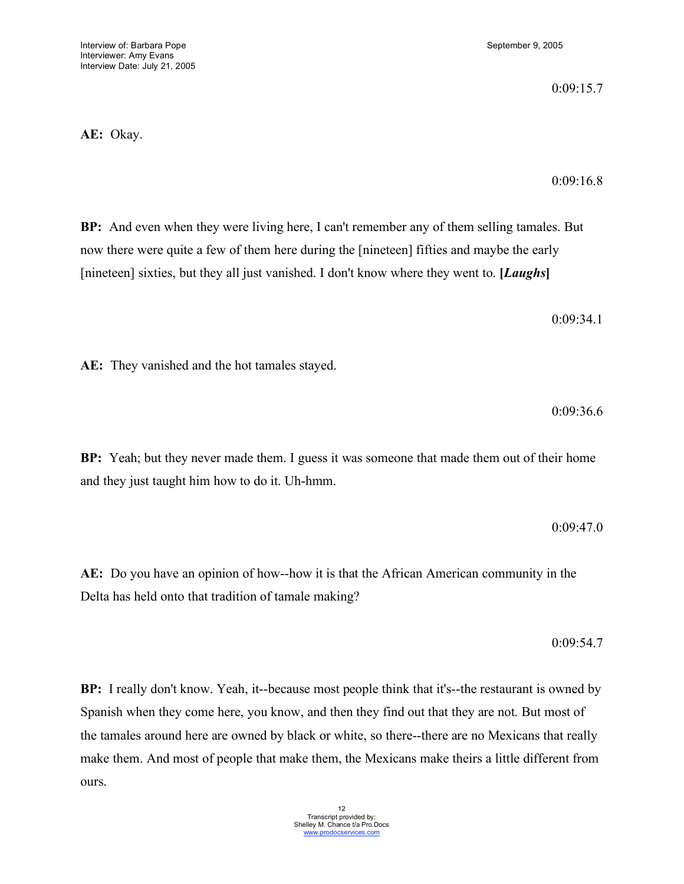**AE:** They vanished and the hot tamales stayed.

**AE:** Okay.

**BP:** And even when they were living here, I can't remember any of them selling tamales. But now there were quite a few of them here during the [nineteen] fifties and maybe the early [nineteen] sixties, but they all just vanished. I don't know where they went to. **[***Laughs***]**

**BP:** Yeah; but they never made them. I guess it was someone that made them out of their home and they just taught him how to do it. Uh-hmm.

**AE:** Do you have an opinion of how--how it is that the African American community in the Delta has held onto that tradition of tamale making?

**BP:** I really don't know. Yeah, it--because most people think that it's--the restaurant is owned by Spanish when they come here, you know, and then they find out that they are not. But most of the tamales around here are owned by black or white, so there--there are no Mexicans that really make them. And most of people that make them, the Mexicans make theirs a little different from ours.

0:09:15.7

0:09:16.8

0:09:36.6

0:09:54.7

0:09:47.0

0:09:34.1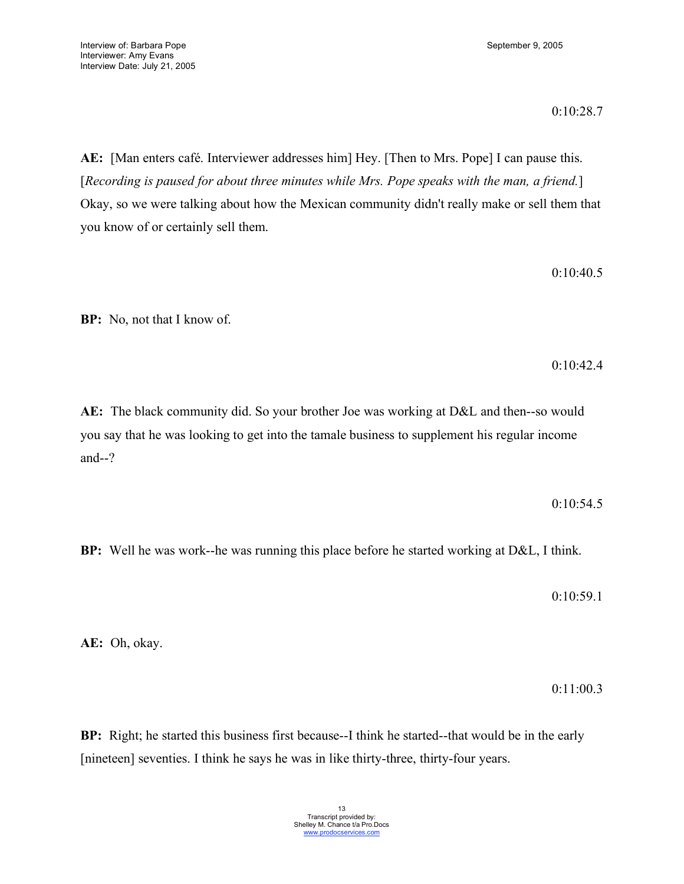0:10:28.7

**AE:** [Man enters café. Interviewer addresses him] Hey. [Then to Mrs. Pope] I can pause this. [*Recording is paused for about three minutes while Mrs. Pope speaks with the man, a friend.*] Okay, so we were talking about how the Mexican community didn't really make or sell them that you know of or certainly sell them.

0:10:40.5

**BP:** No, not that I know of.

0:10:42.4

**AE:** The black community did. So your brother Joe was working at D&L and then--so would you say that he was looking to get into the tamale business to supplement his regular income and--?

0:10:54.5

**BP:** Well he was work--he was running this place before he started working at D&L, I think.

0:10:59.1

**AE:** Oh, okay.

0:11:00.3

**BP:** Right; he started this business first because--I think he started--that would be in the early [nineteen] seventies. I think he says he was in like thirty-three, thirty-four years.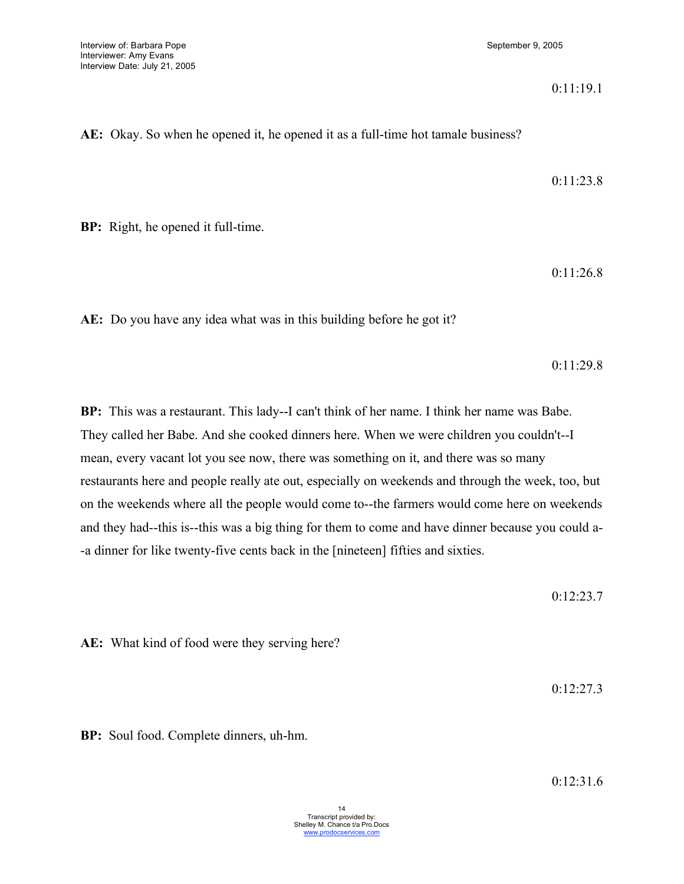#### 0:11:19.1

**AE:** Okay. So when he opened it, he opened it as a full-time hot tamale business?

0:11:23.8

**BP:** Right, he opened it full-time.

0:11:26.8

**AE:** Do you have any idea what was in this building before he got it?

0:11:29.8

**BP:** This was a restaurant. This lady--I can't think of her name. I think her name was Babe. They called her Babe. And she cooked dinners here. When we were children you couldn't--I mean, every vacant lot you see now, there was something on it, and there was so many restaurants here and people really ate out, especially on weekends and through the week, too, but on the weekends where all the people would come to--the farmers would come here on weekends and they had--this is--this was a big thing for them to come and have dinner because you could a- -a dinner for like twenty-five cents back in the [nineteen] fifties and sixties.

0:12:23.7

**AE:** What kind of food were they serving here?

0:12:27.3

**BP:** Soul food. Complete dinners, uh-hm.

0:12:31.6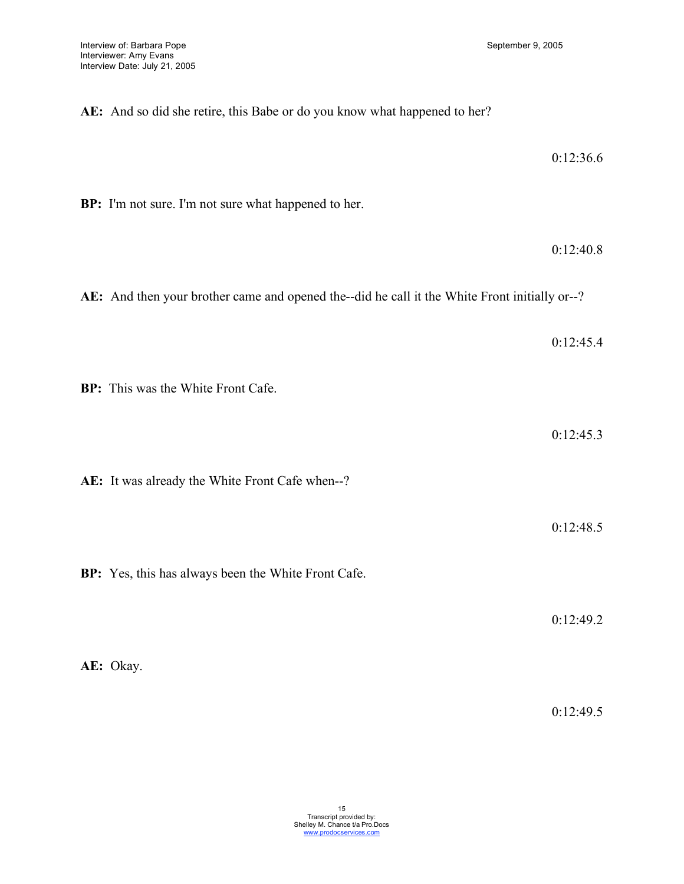| AE: And so did she retire, this Babe or do you know what happened to her?                     |           |
|-----------------------------------------------------------------------------------------------|-----------|
|                                                                                               | 0:12:36.6 |
| BP: I'm not sure. I'm not sure what happened to her.                                          |           |
|                                                                                               | 0:12:40.8 |
| AE: And then your brother came and opened the--did he call it the White Front initially or--? |           |
|                                                                                               | 0:12:45.4 |
| BP: This was the White Front Cafe.                                                            |           |
|                                                                                               | 0:12:45.3 |
| AE: It was already the White Front Cafe when--?                                               |           |
|                                                                                               |           |
|                                                                                               | 0:12:48.5 |
| BP: Yes, this has always been the White Front Cafe.                                           |           |
|                                                                                               | 0:12:49.2 |

**AE:** Okay.

0:12:49.5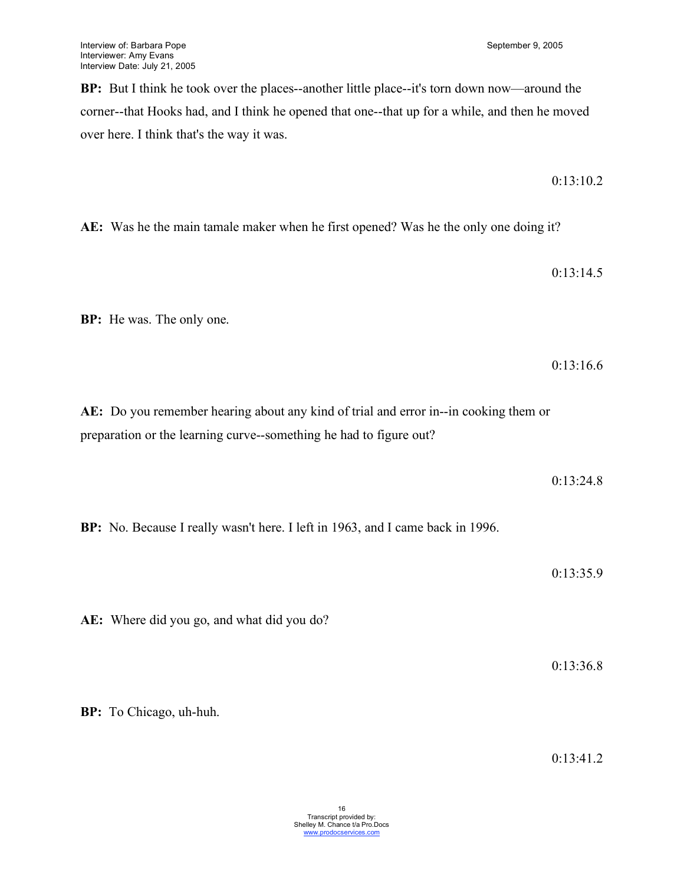**BP:** But I think he took over the places--another little place--it's torn down now—around the corner--that Hooks had, and I think he opened that one--that up for a while, and then he moved over here. I think that's the way it was.

0:13:10.2

**AE:** Was he the main tamale maker when he first opened? Was he the only one doing it?

0:13:14.5

**BP:** He was. The only one.

0:13:16.6

**AE:** Do you remember hearing about any kind of trial and error in--in cooking them or preparation or the learning curve--something he had to figure out?

0:13:24.8

**BP:** No. Because I really wasn't here. I left in 1963, and I came back in 1996.

0:13:35.9

**AE:** Where did you go, and what did you do?

0:13:36.8

**BP:** To Chicago, uh-huh.

0:13:41.2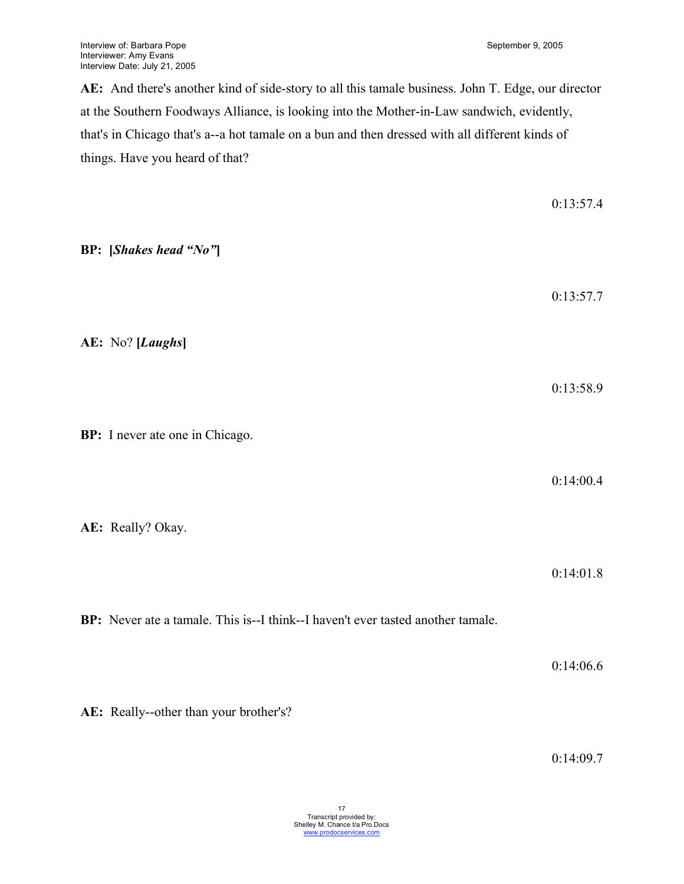0:13:57.4

**AE:** And there's another kind of side-story to all this tamale business. John T. Edge, our director at the Southern Foodways Alliance, is looking into the Mother-in-Law sandwich, evidently, that's in Chicago that's a--a hot tamale on a bun and then dressed with all different kinds of things. Have you heard of that?

| <b>BP:</b> [Shakes head "No"]                                                   |                        |
|---------------------------------------------------------------------------------|------------------------|
| AE: No? [Laughs]                                                                | 0:13:57.7              |
| BP: I never ate one in Chicago.                                                 | 0:13:58.9              |
| AE: Really? Okay.                                                               | 0:14:00.4              |
| BP: Never ate a tamale. This is--I think--I haven't ever tasted another tamale. | 0:14:01.8<br>0:14:06.6 |
|                                                                                 |                        |

**AE:** Really--other than your brother's?

0:14:09.7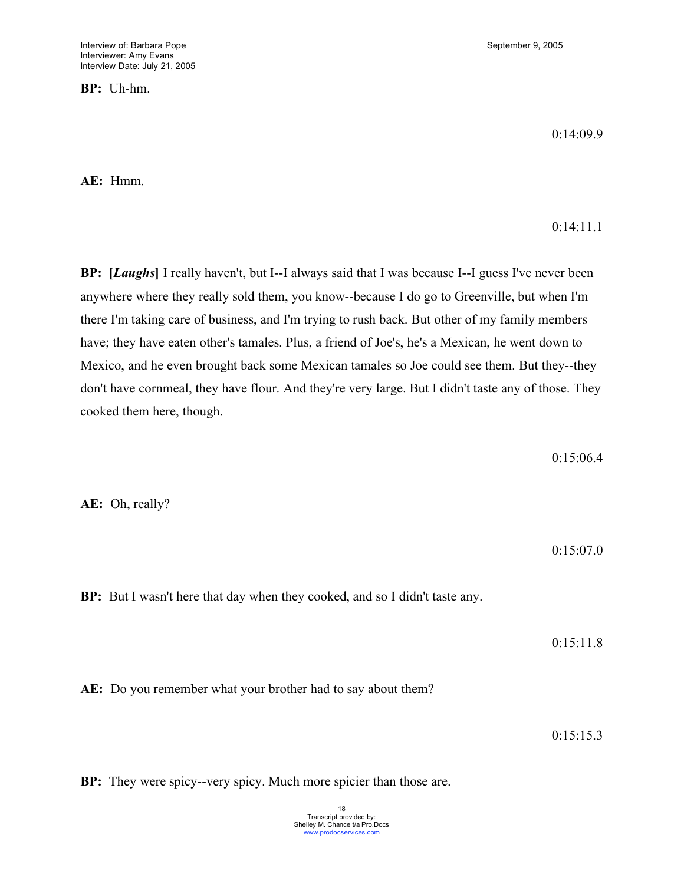**BP:** Uh-hm.

0:14:09.9

0:14:11.1

**AE:** Hmm.

**BP: [***Laughs***]** I really haven't, but I--I always said that I was because I--I guess I've never been anywhere where they really sold them, you know--because I do go to Greenville, but when I'm there I'm taking care of business, and I'm trying to rush back. But other of my family members have; they have eaten other's tamales. Plus, a friend of Joe's, he's a Mexican, he went down to Mexico, and he even brought back some Mexican tamales so Joe could see them. But they--they don't have cornmeal, they have flour. And they're very large. But I didn't taste any of those. They cooked them here, though.

0:15:06.4

**AE:** Oh, really?

0:15:07.0

**BP:** But I wasn't here that day when they cooked, and so I didn't taste any.

0:15:11.8

**AE:** Do you remember what your brother had to say about them?

0:15:15.3

**BP:** They were spicy--very spicy. Much more spicier than those are.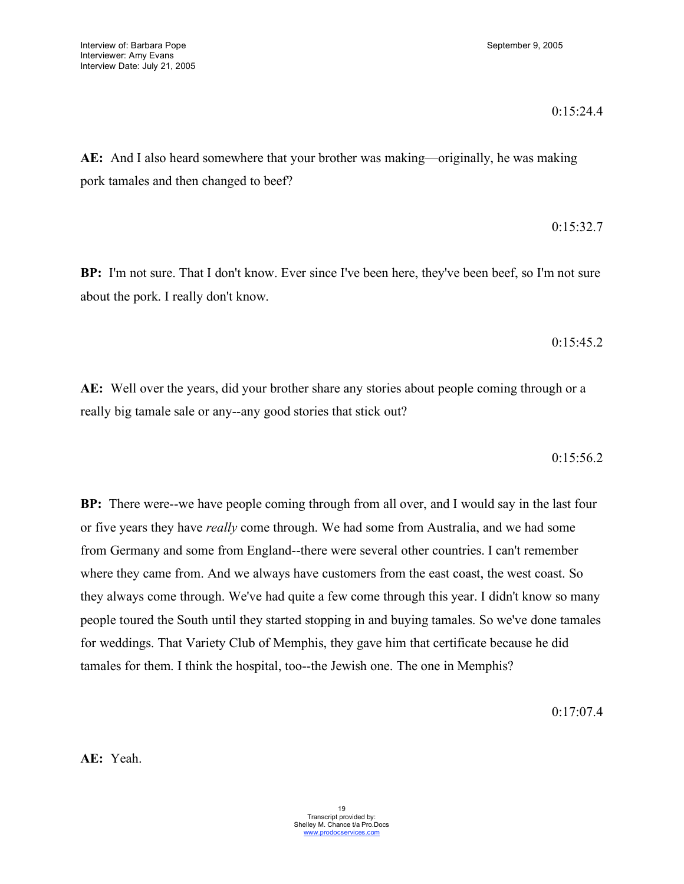#### 0:15:24.4

**AE:** And I also heard somewhere that your brother was making—originally, he was making pork tamales and then changed to beef?

# 0:15:32.7

**BP:** I'm not sure. That I don't know. Ever since I've been here, they've been beef, so I'm not sure about the pork. I really don't know.

#### 0:15:45.2

**AE:** Well over the years, did your brother share any stories about people coming through or a really big tamale sale or any--any good stories that stick out?

0:15:56.2

**BP:** There were--we have people coming through from all over, and I would say in the last four or five years they have *really* come through. We had some from Australia, and we had some from Germany and some from England--there were several other countries. I can't remember where they came from. And we always have customers from the east coast, the west coast. So they always come through. We've had quite a few come through this year. I didn't know so many people toured the South until they started stopping in and buying tamales. So we've done tamales for weddings. That Variety Club of Memphis, they gave him that certificate because he did tamales for them. I think the hospital, too--the Jewish one. The one in Memphis?

0:17:07.4

**AE:** Yeah.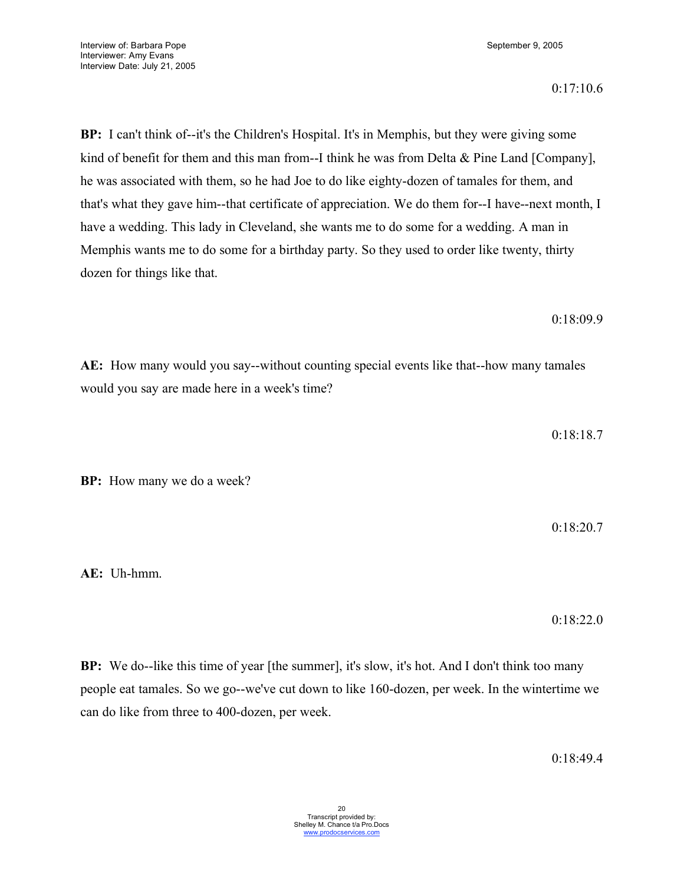**BP:** I can't think of--it's the Children's Hospital. It's in Memphis, but they were giving some kind of benefit for them and this man from--I think he was from Delta & Pine Land [Company], he was associated with them, so he had Joe to do like eighty-dozen of tamales for them, and that's what they gave him--that certificate of appreciation. We do them for--I have--next month, I have a wedding. This lady in Cleveland, she wants me to do some for a wedding. A man in Memphis wants me to do some for a birthday party. So they used to order like twenty, thirty dozen for things like that.

0:18:09.9

**AE:** How many would you say--without counting special events like that--how many tamales would you say are made here in a week's time?

0:18:18.7

**BP:** How many we do a week?

0:18:20.7

**AE:** Uh-hmm.

0:18:22.0

**BP:** We do--like this time of year [the summer], it's slow, it's hot. And I don't think too many people eat tamales. So we go--we've cut down to like 160-dozen, per week. In the wintertime we can do like from three to 400-dozen, per week.

0:18:49.4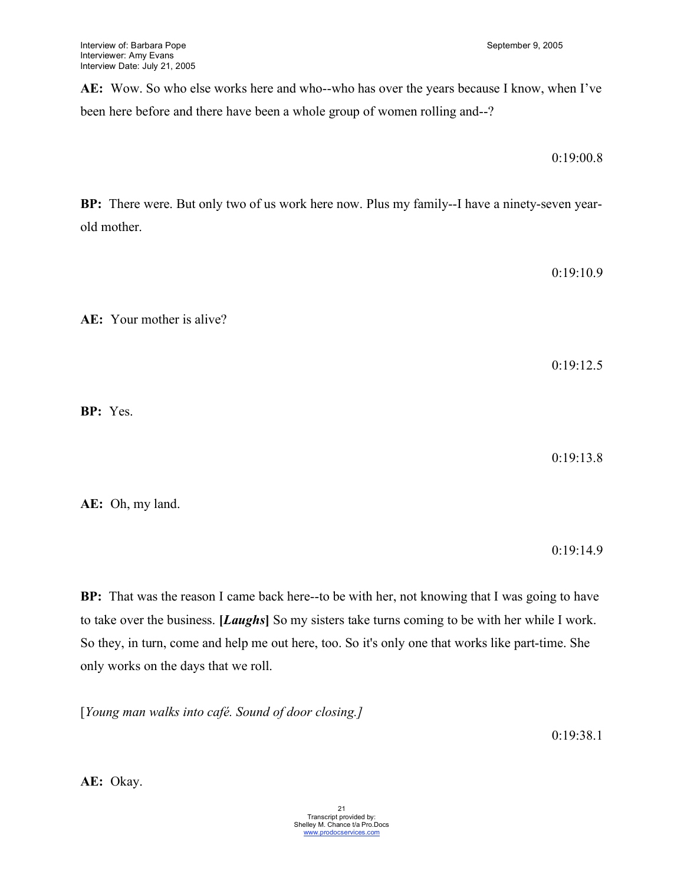**AE:** Wow. So who else works here and who--who has over the years because I know, when I've been here before and there have been a whole group of women rolling and--?

0:19:00.8

**BP:** There were. But only two of us work here now. Plus my family--I have a ninety-seven yearold mother.

**AE:** Your mother is alive?

0:19:12.5

0:19:10.9

**BP:** Yes.

0:19:13.8

**AE:** Oh, my land.

0:19:14.9

**BP:** That was the reason I came back here--to be with her, not knowing that I was going to have to take over the business. **[***Laughs***]** So my sisters take turns coming to be with her while I work. So they, in turn, come and help me out here, too. So it's only one that works like part-time. She only works on the days that we roll.

[*Young man walks into café. Sound of door closing.]*

0:19:38.1

**AE:** Okay.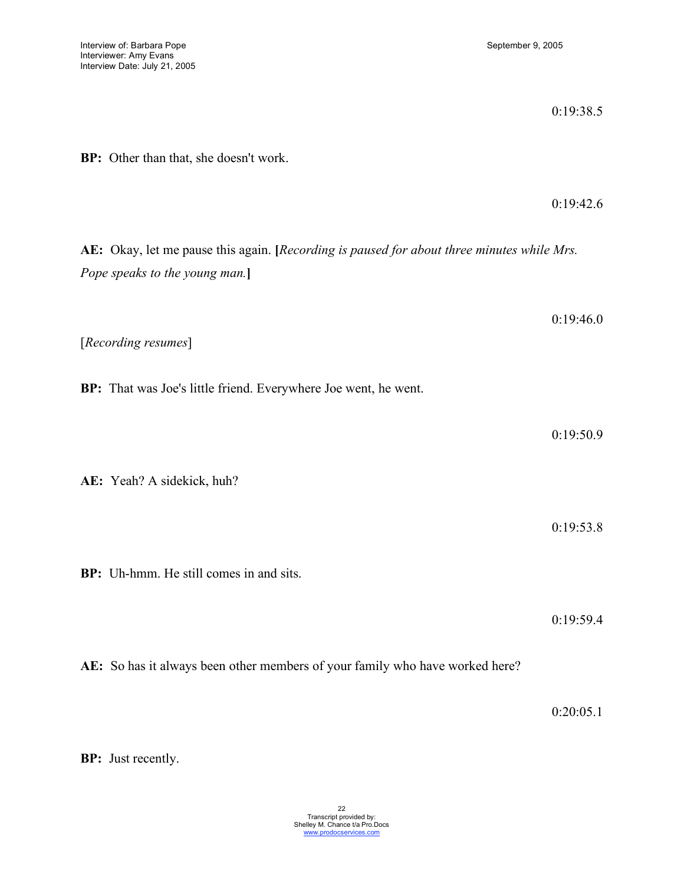|                                                                                                                              | 0:19:38.5 |
|------------------------------------------------------------------------------------------------------------------------------|-----------|
| BP: Other than that, she doesn't work.                                                                                       |           |
|                                                                                                                              | 0:19:42.6 |
| AE: Okay, let me pause this again. [Recording is paused for about three minutes while Mrs.<br>Pope speaks to the young man.] |           |
|                                                                                                                              | 0:19:46.0 |
| [Recording resumes]                                                                                                          |           |
| BP: That was Joe's little friend. Everywhere Joe went, he went.                                                              |           |
|                                                                                                                              | 0:19:50.9 |
| AE: Yeah? A sidekick, huh?                                                                                                   |           |
|                                                                                                                              | 0:19:53.8 |
| BP: Uh-hmm. He still comes in and sits.                                                                                      |           |
|                                                                                                                              | 0:19:59.4 |
| AE: So has it always been other members of your family who have worked here?                                                 |           |

0:20:05.1

**BP:** Just recently.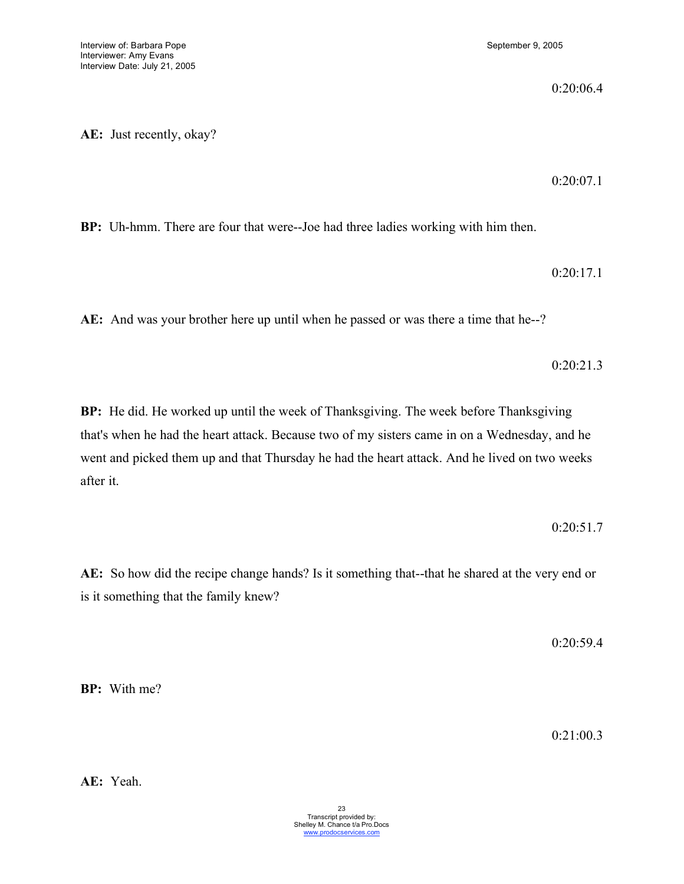0:20:06.4

**AE:** Just recently, okay?

0:20:07.1

**BP:** Uh-hmm. There are four that were--Joe had three ladies working with him then.

0:20:17.1

**AE:** And was your brother here up until when he passed or was there a time that he--?

0:20:21.3

**BP:** He did. He worked up until the week of Thanksgiving. The week before Thanksgiving that's when he had the heart attack. Because two of my sisters came in on a Wednesday, and he went and picked them up and that Thursday he had the heart attack. And he lived on two weeks after it.

0:20:51.7

**AE:** So how did the recipe change hands? Is it something that--that he shared at the very end or is it something that the family knew?

0:20:59.4

**BP:** With me?

0:21:00.3

**AE:** Yeah.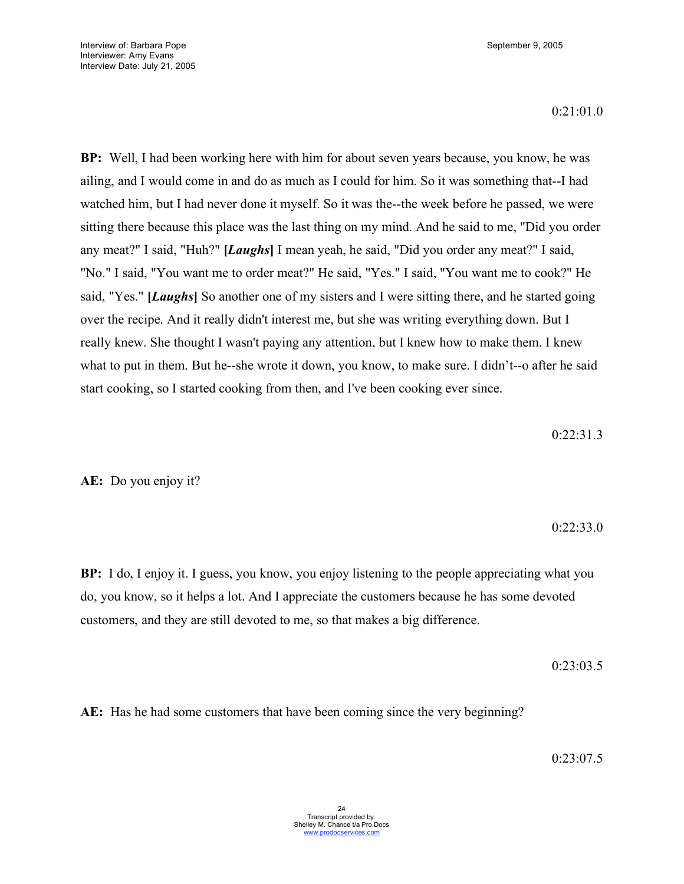0:21:01.0

**BP:** Well, I had been working here with him for about seven years because, you know, he was ailing, and I would come in and do as much as I could for him. So it was something that--I had watched him, but I had never done it myself. So it was the--the week before he passed, we were sitting there because this place was the last thing on my mind. And he said to me, "Did you order any meat?" I said, "Huh?" **[***Laughs***]** I mean yeah, he said, "Did you order any meat?" I said, "No." I said, "You want me to order meat?" He said, "Yes." I said, "You want me to cook?" He said, "Yes." **[***Laughs***]** So another one of my sisters and I were sitting there, and he started going over the recipe. And it really didn't interest me, but she was writing everything down. But I really knew. She thought I wasn't paying any attention, but I knew how to make them. I knew what to put in them. But he--she wrote it down, you know, to make sure. I didn't--o after he said start cooking, so I started cooking from then, and I've been cooking ever since.

0:22:31.3

**AE:** Do you enjoy it?

# 0:22:33.0

**BP:** I do, I enjoy it. I guess, you know, you enjoy listening to the people appreciating what you do, you know, so it helps a lot. And I appreciate the customers because he has some devoted customers, and they are still devoted to me, so that makes a big difference.

0:23:03.5

**AE:** Has he had some customers that have been coming since the very beginning?

0:23:07.5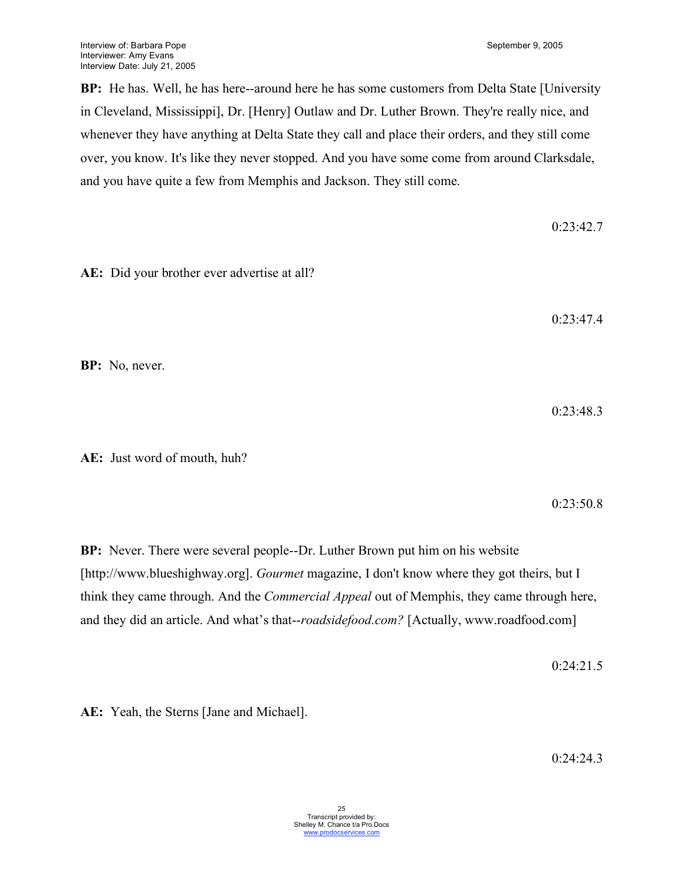**BP:** He has. Well, he has here--around here he has some customers from Delta State [University in Cleveland, Mississippi], Dr. [Henry] Outlaw and Dr. Luther Brown. They're really nice, and whenever they have anything at Delta State they call and place their orders, and they still come over, you know. It's like they never stopped. And you have some come from around Clarksdale, and you have quite a few from Memphis and Jackson. They still come.

0:23:42.7 **AE:** Did your brother ever advertise at all? 0:23:47.4 **BP:** No, never. 0:23:48.3 **AE:** Just word of mouth, huh?

**BP:** Never. There were several people--Dr. Luther Brown put him on his website [http://www.blueshighway.org]. *Gourmet* magazine, I don't know where they got theirs, but I think they came through. And the *Commercial Appeal* out of Memphis, they came through here, and they did an article. And what's that--*roadsidefood.com?* [Actually, www.roadfood.com]

0:24:21.5

0:23:50.8

**AE:** Yeah, the Sterns [Jane and Michael].

 $0.24.24.3$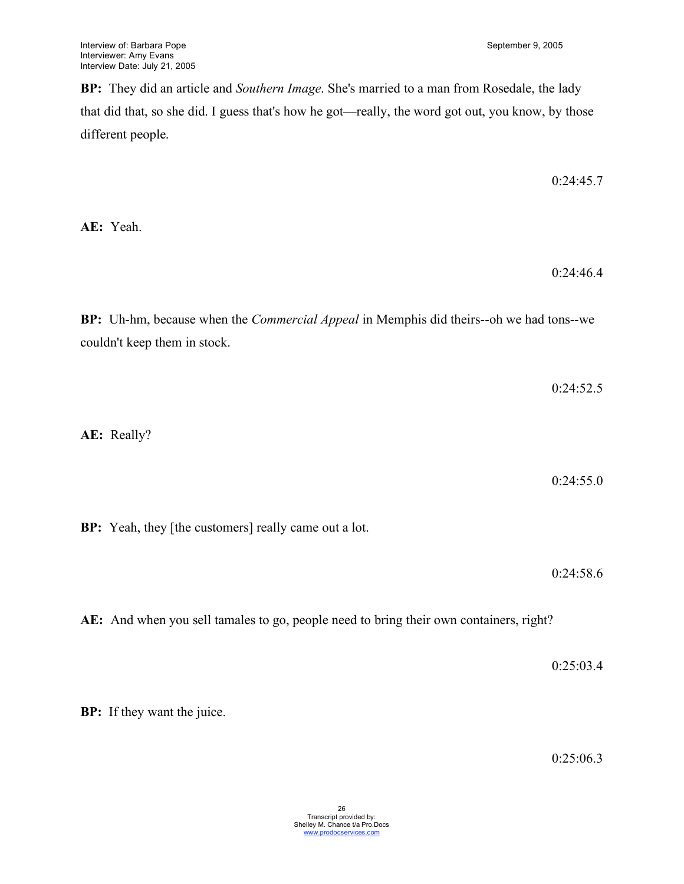**BP:** They did an article and *Southern Image*. She's married to a man from Rosedale, the lady that did that, so she did. I guess that's how he got—really, the word got out, you know, by those different people.

0:24:45.7

**AE:** Yeah.

0:24:46.4

**BP:** Uh-hm, because when the *Commercial Appeal* in Memphis did theirs--oh we had tons--we couldn't keep them in stock.

0:24:52.5 **AE:** Really?

**BP:** Yeah, they [the customers] really came out a lot.

0:24:58.6

0:24:55.0

**AE:** And when you sell tamales to go, people need to bring their own containers, right?

0:25:03.4

**BP:** If they want the juice.

0:25:06.3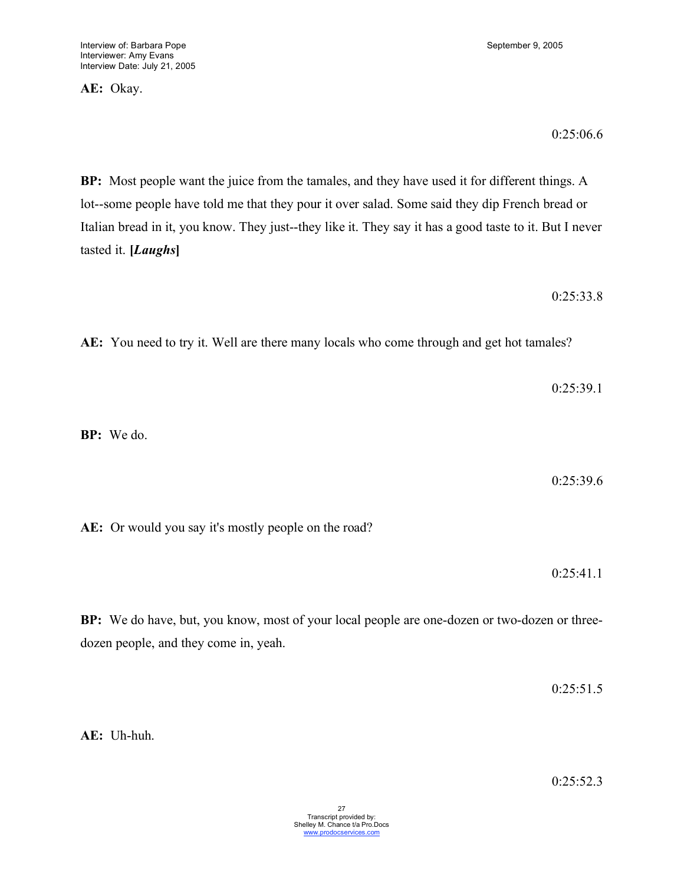**AE:** Okay.

0:25:06.6

**BP:** Most people want the juice from the tamales, and they have used it for different things. A lot--some people have told me that they pour it over salad. Some said they dip French bread or Italian bread in it, you know. They just--they like it. They say it has a good taste to it. But I never tasted it. **[***Laughs***]**

0:25:33.8

**AE:** You need to try it. Well are there many locals who come through and get hot tamales?

0:25:39.1

**BP:** We do.

0:25:39.6

**AE:** Or would you say it's mostly people on the road?

0:25:41.1

**BP:** We do have, but, you know, most of your local people are one-dozen or two-dozen or threedozen people, and they come in, yeah.

0:25:51.5

**AE:** Uh-huh.

0:25:52.3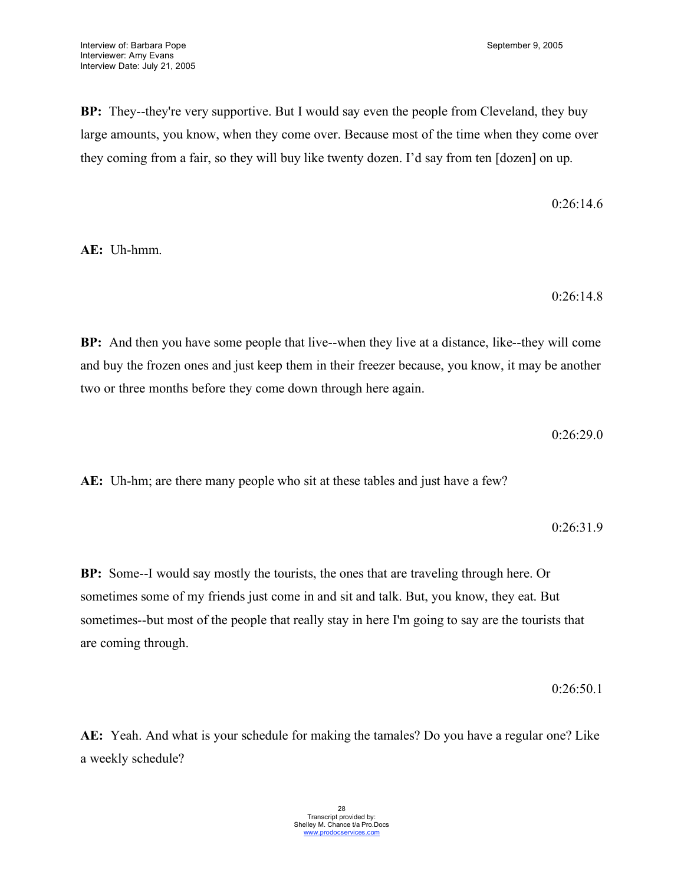**BP:** They--they're very supportive. But I would say even the people from Cleveland, they buy large amounts, you know, when they come over. Because most of the time when they come over they coming from a fair, so they will buy like twenty dozen. I'd say from ten [dozen] on up.

0:26:14.6

**AE:** Uh-hmm.

0:26:14.8

**BP:** And then you have some people that live--when they live at a distance, like--they will come and buy the frozen ones and just keep them in their freezer because, you know, it may be another two or three months before they come down through here again.

0:26:29.0

**AE:** Uh-hm; are there many people who sit at these tables and just have a few?

0:26:31.9

**BP:** Some--I would say mostly the tourists, the ones that are traveling through here. Or sometimes some of my friends just come in and sit and talk. But, you know, they eat. But sometimes--but most of the people that really stay in here I'm going to say are the tourists that are coming through.

0:26:50.1

**AE:** Yeah. And what is your schedule for making the tamales? Do you have a regular one? Like a weekly schedule?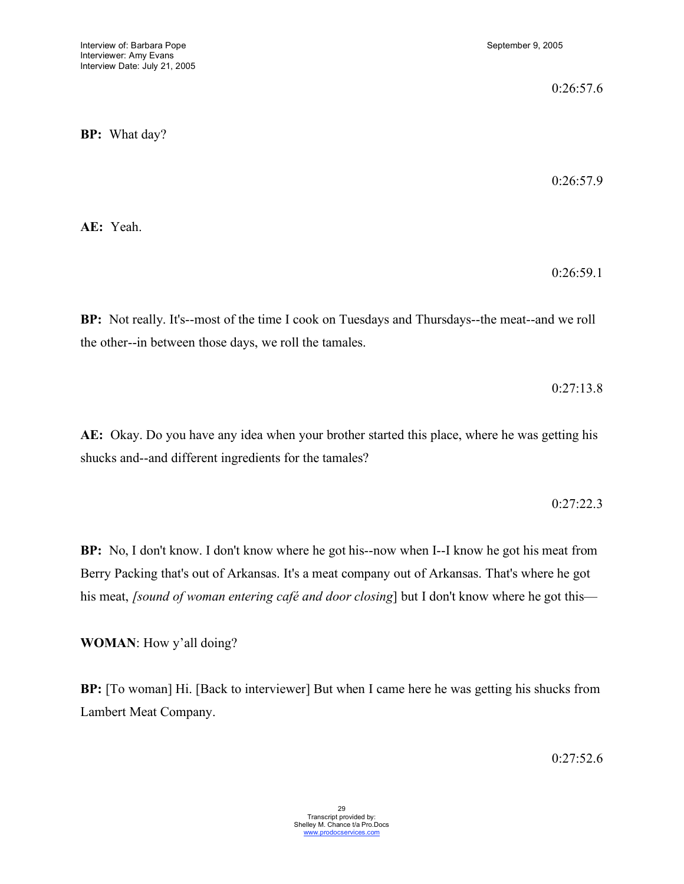0:26:57.6

**BP:** What day?

0:26:57.9

**AE:** Yeah.

0:26:59.1

**BP:** Not really. It's--most of the time I cook on Tuesdays and Thursdays--the meat--and we roll the other--in between those days, we roll the tamales.

0:27:13.8

**AE:** Okay. Do you have any idea when your brother started this place, where he was getting his shucks and--and different ingredients for the tamales?

0:27:22.3

**BP:** No, I don't know. I don't know where he got his--now when I--I know he got his meat from Berry Packing that's out of Arkansas. It's a meat company out of Arkansas. That's where he got his meat, *[sound of woman entering café and door closing*] but I don't know where he got this—

**WOMAN**: How y'all doing?

**BP:** [To woman] Hi. [Back to interviewer] But when I came here he was getting his shucks from Lambert Meat Company.

 $0.27:52.6$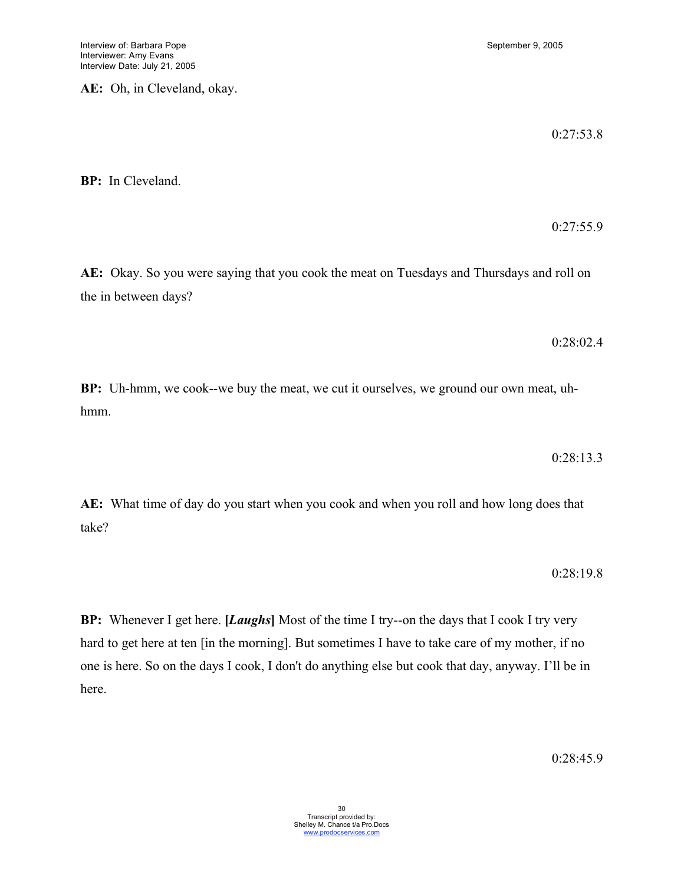**AE:** Oh, in Cleveland, okay.

0:27:53.8

0:27:55.9

**BP:** In Cleveland.

**AE:** Okay. So you were saying that you cook the meat on Tuesdays and Thursdays and roll on the in between days?

0:28:02.4

**BP:** Uh-hmm, we cook--we buy the meat, we cut it ourselves, we ground our own meat, uhhmm.

0:28:13.3

**AE:** What time of day do you start when you cook and when you roll and how long does that take?

0:28:19.8

**BP:** Whenever I get here. **[***Laughs***]** Most of the time I try--on the days that I cook I try very hard to get here at ten [in the morning]. But sometimes I have to take care of my mother, if no one is here. So on the days I cook, I don't do anything else but cook that day, anyway. I'll be in here.

0:28:45.9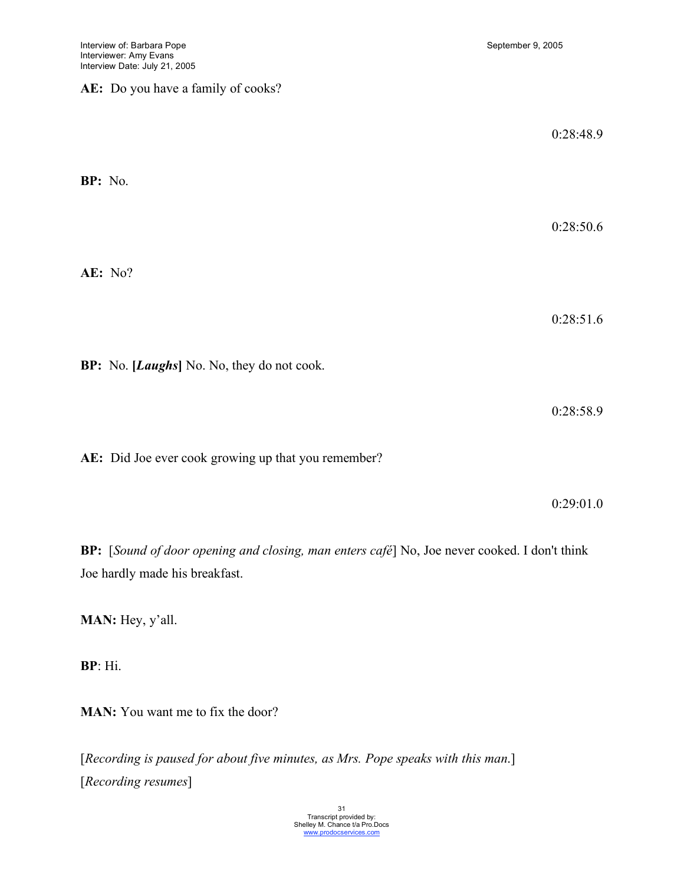## **AE:** Do you have a family of cooks?

|         |                                                     | 0:28:48.9 |
|---------|-----------------------------------------------------|-----------|
| BP: No. |                                                     | 0:28:50.6 |
|         | AE: No?                                             |           |
|         |                                                     | 0:28:51.6 |
|         | BP: No. [Laughs] No. No, they do not cook.          |           |
|         |                                                     | 0:28:58.9 |
|         | AE: Did Joe ever cook growing up that you remember? |           |

0:29:01.0

**BP:** [*Sound of door opening and closing, man enters café*] No, Joe never cooked. I don't think Joe hardly made his breakfast.

**MAN:** Hey, y'all.

**BP**: Hi.

**MAN:** You want me to fix the door?

[*Recording is paused for about five minutes, as Mrs. Pope speaks with this man*.] [*Recording resumes*]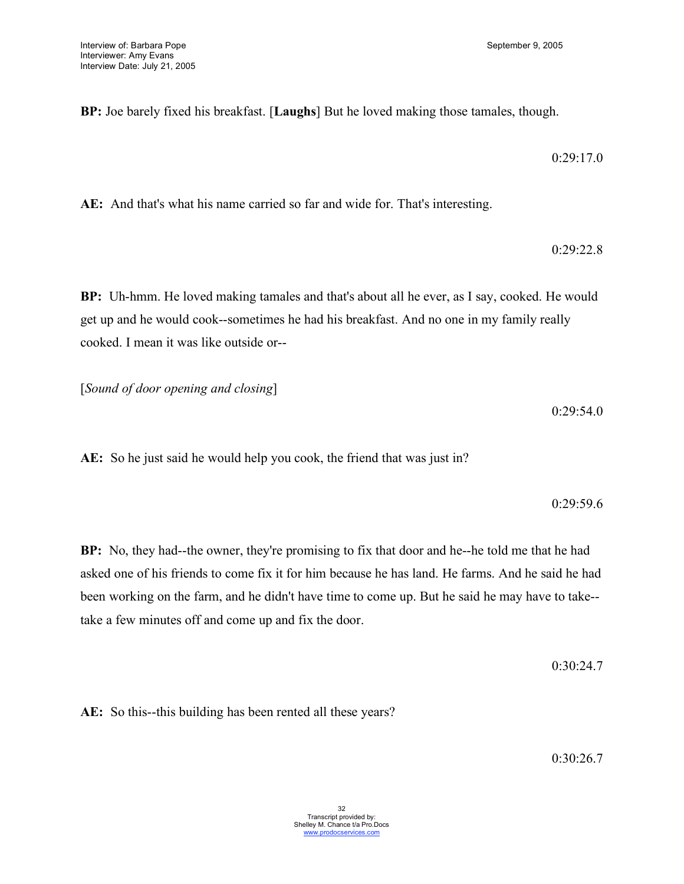**BP:** Joe barely fixed his breakfast. [**Laughs**] But he loved making those tamales, though.

0:29:17.0

**AE:** And that's what his name carried so far and wide for. That's interesting.

0:29:22.8

**BP:** Uh-hmm. He loved making tamales and that's about all he ever, as I say, cooked. He would get up and he would cook--sometimes he had his breakfast. And no one in my family really cooked. I mean it was like outside or--

[*Sound of door opening and closing*]

0:29:54.0

**AE:** So he just said he would help you cook, the friend that was just in?

0:29:59.6

**BP:** No, they had--the owner, they're promising to fix that door and he--he told me that he had asked one of his friends to come fix it for him because he has land. He farms. And he said he had been working on the farm, and he didn't have time to come up. But he said he may have to take- take a few minutes off and come up and fix the door.

0:30:24.7

**AE:** So this--this building has been rented all these years?

0:30:26.7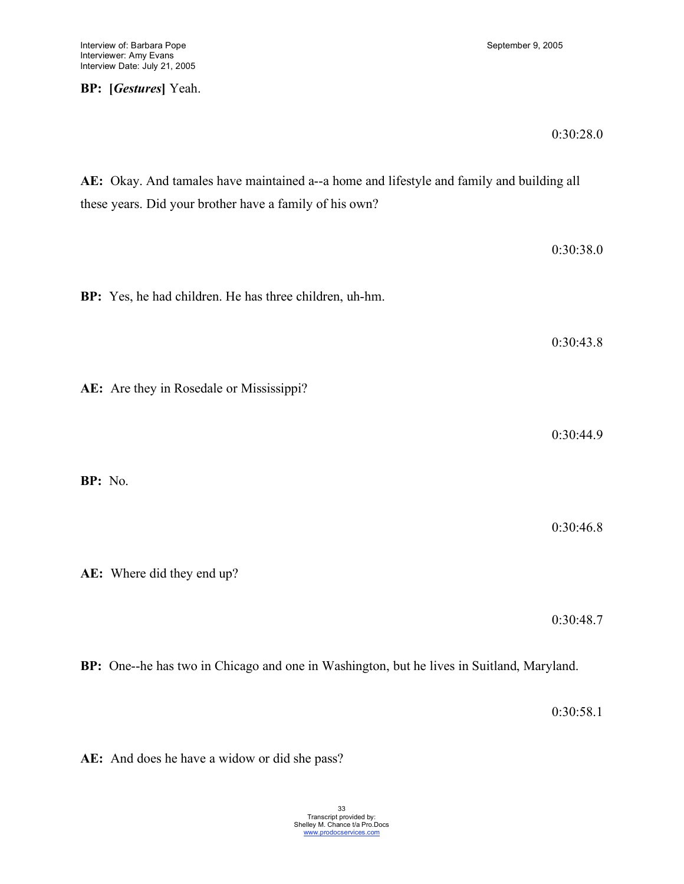# **BP: [***Gestures***]** Yeah.

### 0:30:28.0

**AE:** Okay. And tamales have maintained a--a home and lifestyle and family and building all these years. Did your brother have a family of his own? 0:30:38.0 **BP:** Yes, he had children. He has three children, uh-hm. 0:30:43.8 **AE:** Are they in Rosedale or Mississippi? 0:30:44.9 **BP:** No. 0:30:46.8 **AE:** Where did they end up? 0:30:48.7

**BP:** One--he has two in Chicago and one in Washington, but he lives in Suitland, Maryland.

0:30:58.1

**AE:** And does he have a widow or did she pass?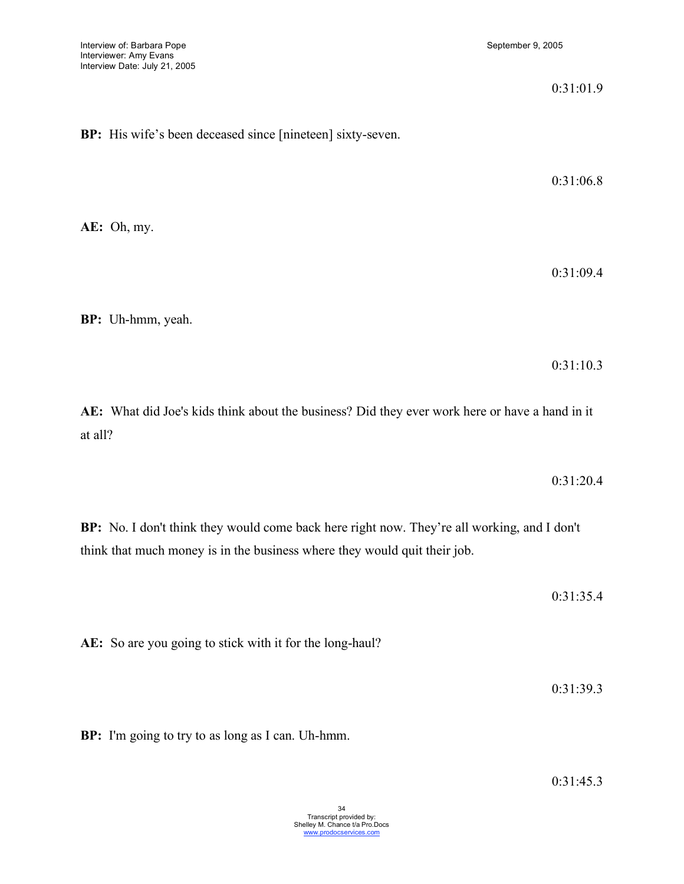|         |                                                                                                          | 0:31:01.9 |
|---------|----------------------------------------------------------------------------------------------------------|-----------|
|         | BP: His wife's been deceased since [nineteen] sixty-seven.                                               |           |
|         |                                                                                                          | 0:31:06.8 |
|         | AE: Oh, my.                                                                                              |           |
|         |                                                                                                          | 0:31:09.4 |
|         | BP: Uh-hmm, yeah.                                                                                        |           |
|         |                                                                                                          | 0:31:10.3 |
| at all? | AE: What did Joe's kids think about the business? Did they ever work here or have a hand in it           |           |
|         |                                                                                                          | 0:31:20.4 |
|         | $\mathbb{R}P\cdot N_0$ I don't think they would come back here right now They're all working and I don't |           |

**BP:** No. I don't think they would come back here right now. They're all working, and I don't think that much money is in the business where they would quit their job.

0:31:35.4

**AE:** So are you going to stick with it for the long-haul?

0:31:39.3

**BP:** I'm going to try to as long as I can. Uh-hmm.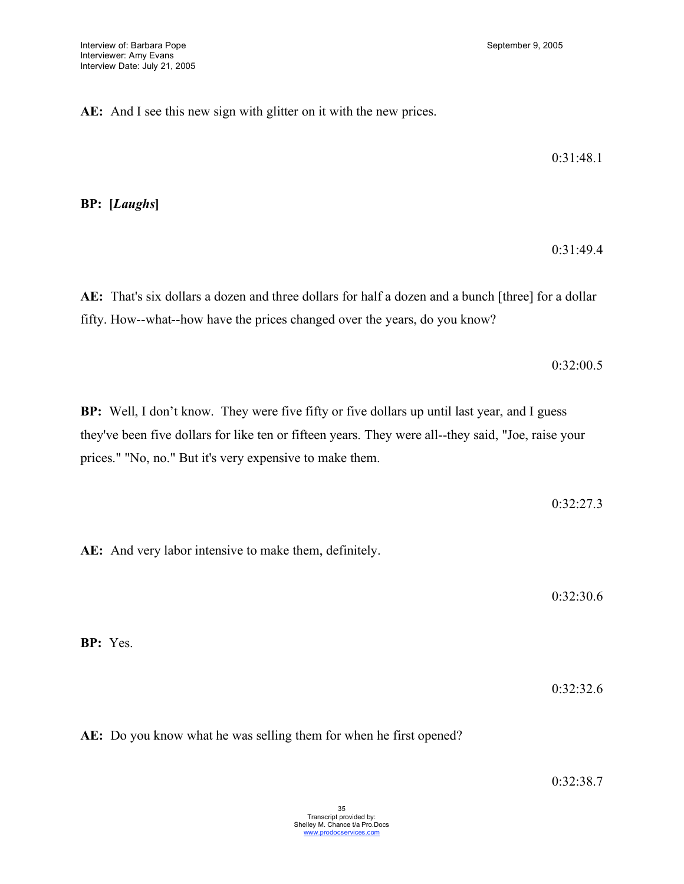**AE:** And I see this new sign with glitter on it with the new prices.

0:31:48.1

**BP: [***Laughs***]**

0:31:49.4

**AE:** That's six dollars a dozen and three dollars for half a dozen and a bunch [three] for a dollar fifty. How--what--how have the prices changed over the years, do you know?

0:32:00.5

**BP:** Well, I don't know. They were five fifty or five dollars up until last year, and I guess they've been five dollars for like ten or fifteen years. They were all--they said, "Joe, raise your prices." "No, no." But it's very expensive to make them.

0:32:27.3

**AE:** And very labor intensive to make them, definitely.

0:32:30.6

**BP:** Yes.

0:32:32.6

**AE:** Do you know what he was selling them for when he first opened?

0:32:38.7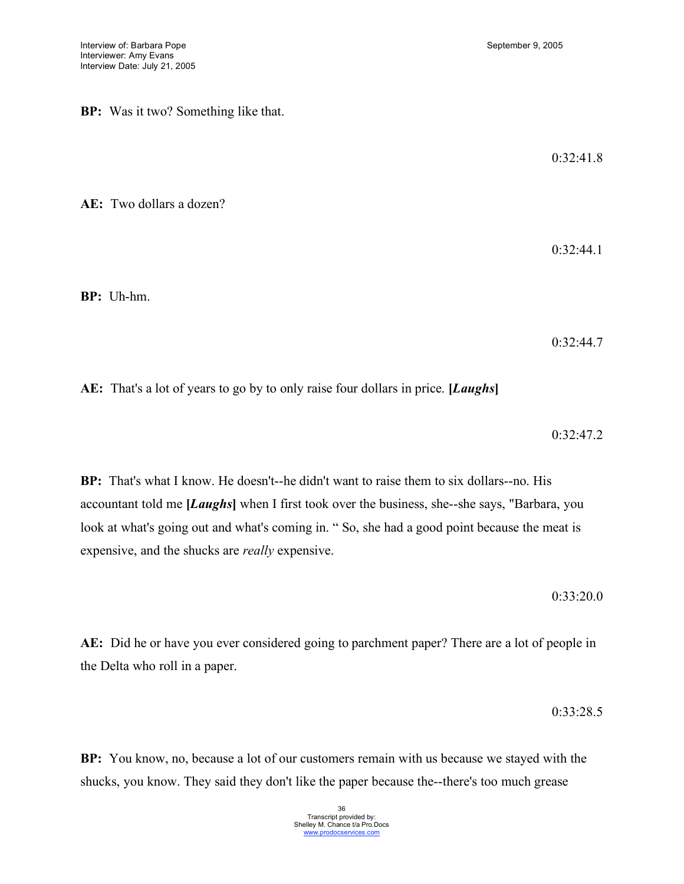**BP:** Was it two? Something like that.

0:32:41.8

**AE:** Two dollars a dozen?

0:32:44.1

**BP:** Uh-hm.

0:32:44.7

**AE:** That's a lot of years to go by to only raise four dollars in price. **[***Laughs***]**

0:32:47.2

**BP:** That's what I know. He doesn't--he didn't want to raise them to six dollars--no. His accountant told me **[***Laughs***]** when I first took over the business, she--she says, "Barbara, you look at what's going out and what's coming in. " So, she had a good point because the meat is expensive, and the shucks are *really* expensive.

0:33:20.0

**AE:** Did he or have you ever considered going to parchment paper? There are a lot of people in the Delta who roll in a paper.

0:33:28.5

**BP:** You know, no, because a lot of our customers remain with us because we stayed with the shucks, you know. They said they don't like the paper because the--there's too much grease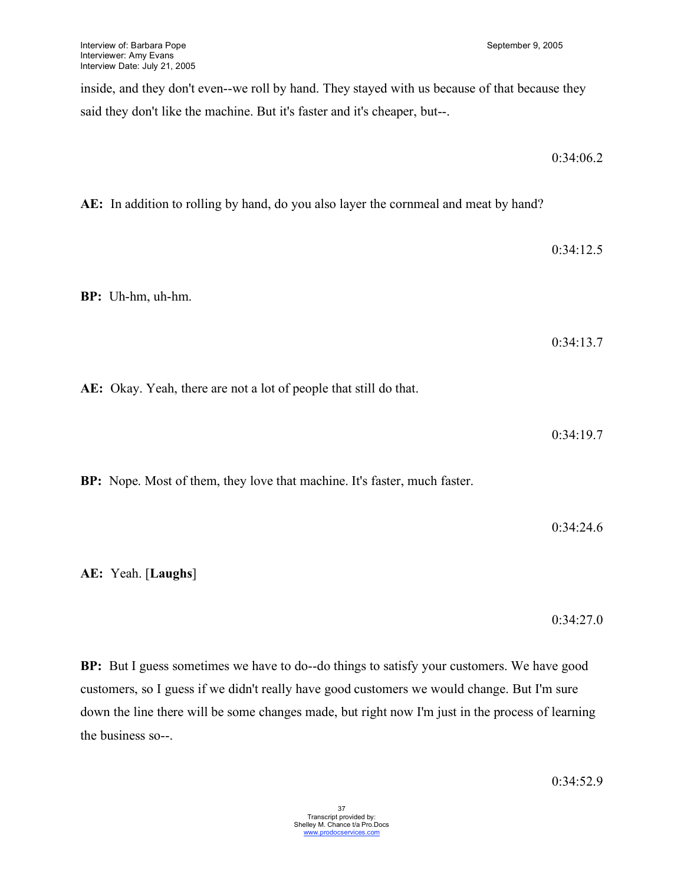inside, and they don't even--we roll by hand. They stayed with us because of that because they said they don't like the machine. But it's faster and it's cheaper, but--.

0:34:06.2

**AE:** In addition to rolling by hand, do you also layer the cornmeal and meat by hand?

0:34:12.5 **BP:** Uh-hm, uh-hm. 0:34:13.7 **AE:** Okay. Yeah, there are not a lot of people that still do that. 0:34:19.7

**BP:** Nope. Most of them, they love that machine. It's faster, much faster.

**AE:** Yeah. [**Laughs**]

0:34:27.0

**BP:** But I guess sometimes we have to do--do things to satisfy your customers. We have good customers, so I guess if we didn't really have good customers we would change. But I'm sure down the line there will be some changes made, but right now I'm just in the process of learning the business so--.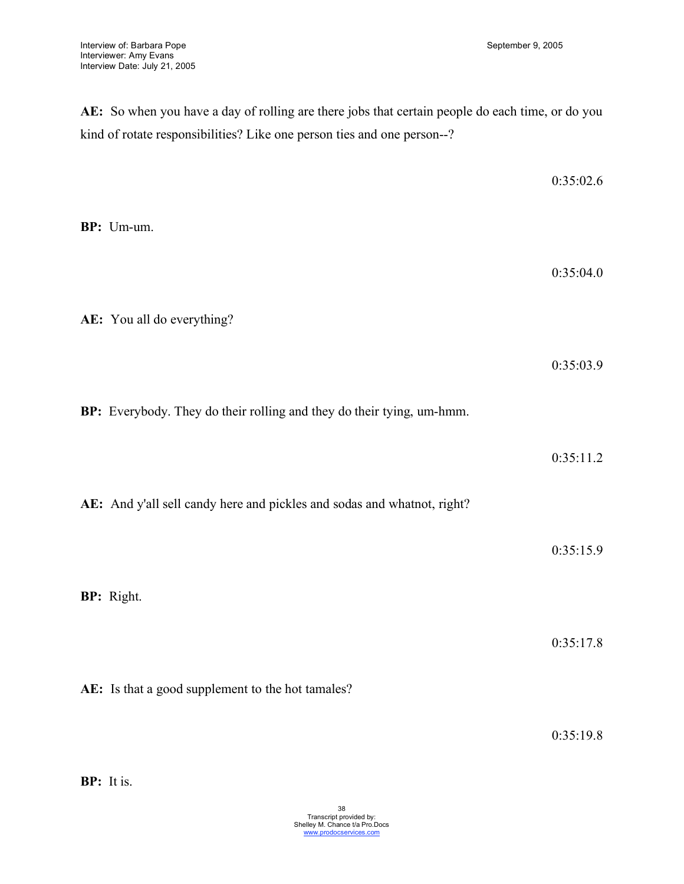**AE:** So when you have a day of rolling are there jobs that certain people do each time, or do you kind of rotate responsibilities? Like one person ties and one person--?

| BP: Um-um.                                                              | 0:35:02.6 |
|-------------------------------------------------------------------------|-----------|
| AE: You all do everything?                                              | 0:35:04.0 |
|                                                                         | 0:35:03.9 |
| BP: Everybody. They do their rolling and they do their tying, um-hmm.   | 0:35:11.2 |
| AE: And y'all sell candy here and pickles and sodas and whatnot, right? | 0:35:15.9 |
| BP: Right.                                                              |           |
| AE: Is that a good supplement to the hot tamales?                       | 0:35:17.8 |

0:35:19.8

**BP:** It is.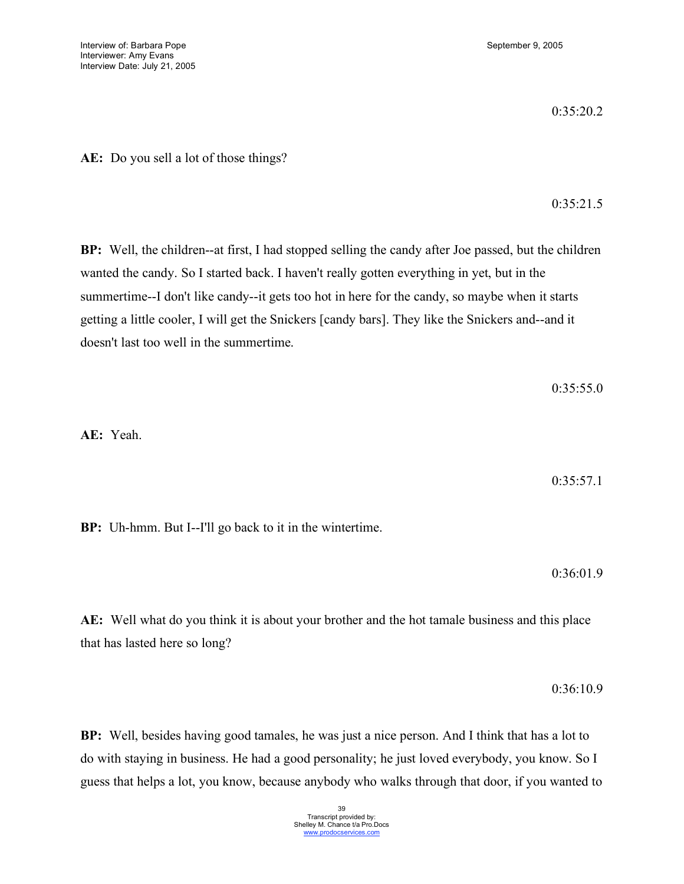0:35:20.2

**AE:** Do you sell a lot of those things?

0:35:21.5

**BP:** Well, the children--at first, I had stopped selling the candy after Joe passed, but the children wanted the candy. So I started back. I haven't really gotten everything in yet, but in the summertime--I don't like candy--it gets too hot in here for the candy, so maybe when it starts getting a little cooler, I will get the Snickers [candy bars]. They like the Snickers and--and it doesn't last too well in the summertime.

**AE:** Yeah.

0:35:57.1

**BP:** Uh-hmm. But I--I'll go back to it in the wintertime.

0:36:01.9

**AE:** Well what do you think it is about your brother and the hot tamale business and this place that has lasted here so long?

0:36:10.9

**BP:** Well, besides having good tamales, he was just a nice person. And I think that has a lot to do with staying in business. He had a good personality; he just loved everybody, you know. So I guess that helps a lot, you know, because anybody who walks through that door, if you wanted to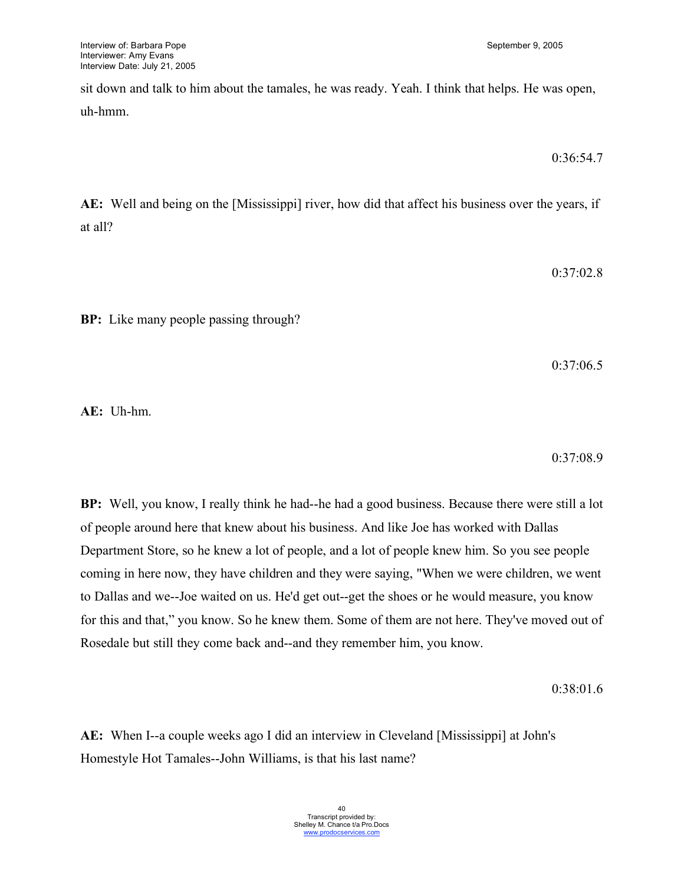sit down and talk to him about the tamales, he was ready. Yeah. I think that helps. He was open, uh-hmm.

$$
0.36\mathpunct:54.7
$$

**AE:** Well and being on the [Mississippi] river, how did that affect his business over the years, if at all?

0:37:02.8

**BP:** Like many people passing through?

0:37:06.5

**AE:** Uh-hm.

0:37:08.9

**BP:** Well, you know, I really think he had--he had a good business. Because there were still a lot of people around here that knew about his business. And like Joe has worked with Dallas Department Store, so he knew a lot of people, and a lot of people knew him. So you see people coming in here now, they have children and they were saying, "When we were children, we went to Dallas and we--Joe waited on us. He'd get out--get the shoes or he would measure, you know for this and that," you know. So he knew them. Some of them are not here. They've moved out of Rosedale but still they come back and--and they remember him, you know.

0:38:01.6

**AE:** When I--a couple weeks ago I did an interview in Cleveland [Mississippi] at John's Homestyle Hot Tamales--John Williams, is that his last name?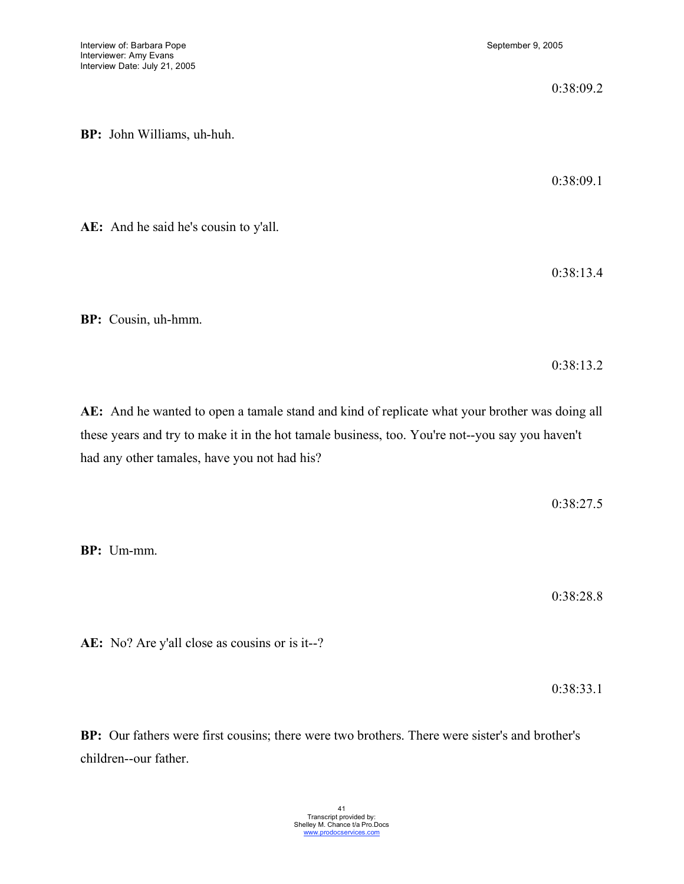0:38:09.2 **BP:** John Williams, uh-huh. 0:38:09.1 **AE:** And he said he's cousin to y'all.

**BP:** Cousin, uh-hmm.

0:38:13.2

0:38:13.4

**AE:** And he wanted to open a tamale stand and kind of replicate what your brother was doing all these years and try to make it in the hot tamale business, too. You're not--you say you haven't had any other tamales, have you not had his?

0:38:27.5

**BP:** Um-mm.

0:38:28.8

**AE:** No? Are y'all close as cousins or is it--?

0:38:33.1

**BP:** Our fathers were first cousins; there were two brothers. There were sister's and brother's children--our father.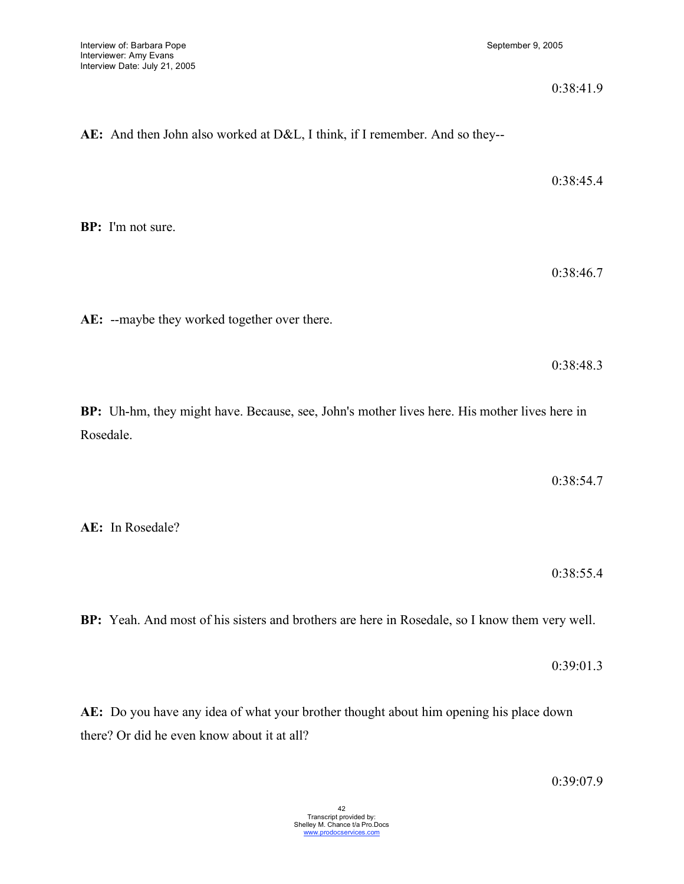0:38:41.9

# **AE:** And then John also worked at D&L, I think, if I remember. And so they--

**BP:** I'm not sure.

0:38:46.7

0:38:45.4

**AE:** --maybe they worked together over there.

0:38:48.3

**BP:** Uh-hm, they might have. Because, see, John's mother lives here. His mother lives here in Rosedale.

0:38:54.7

**AE:** In Rosedale?

0:38:55.4

**BP:** Yeah. And most of his sisters and brothers are here in Rosedale, so I know them very well.

0:39:01.3

**AE:** Do you have any idea of what your brother thought about him opening his place down there? Or did he even know about it at all?

0:39:07.9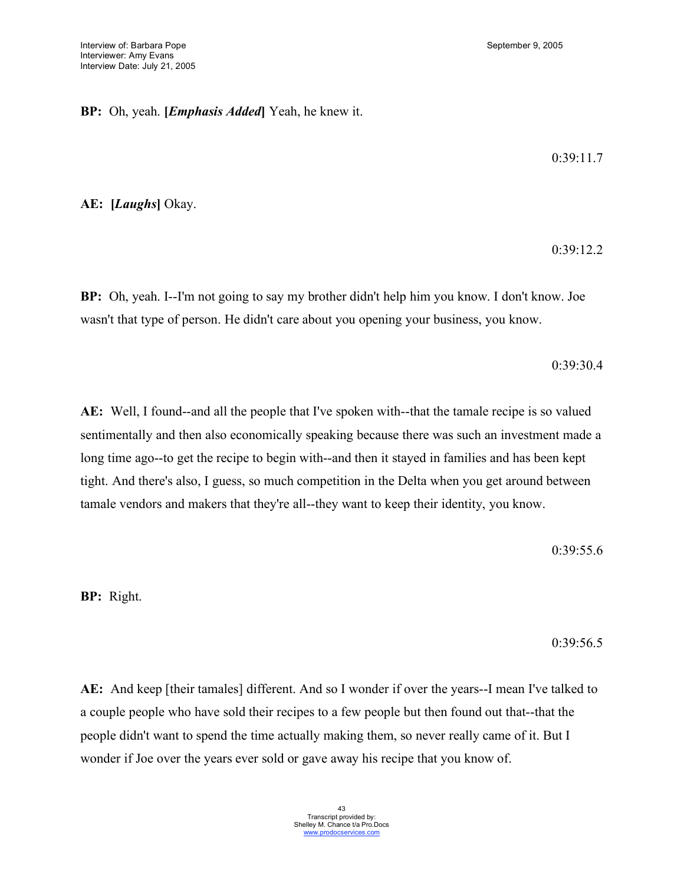# **BP:** Oh, yeah. **[***Emphasis Added***]** Yeah, he knew it.

0:39:11.7

0:39:12.2

**AE: [***Laughs***]** Okay.

**BP:** Oh, yeah. I--I'm not going to say my brother didn't help him you know. I don't know. Joe wasn't that type of person. He didn't care about you opening your business, you know.

0:39:30.4

**AE:** Well, I found--and all the people that I've spoken with--that the tamale recipe is so valued sentimentally and then also economically speaking because there was such an investment made a long time ago--to get the recipe to begin with--and then it stayed in families and has been kept tight. And there's also, I guess, so much competition in the Delta when you get around between tamale vendors and makers that they're all--they want to keep their identity, you know.

0:39:55.6

**BP:** Right.

0:39:56.5

**AE:** And keep [their tamales] different. And so I wonder if over the years--I mean I've talked to a couple people who have sold their recipes to a few people but then found out that--that the people didn't want to spend the time actually making them, so never really came of it. But I wonder if Joe over the years ever sold or gave away his recipe that you know of.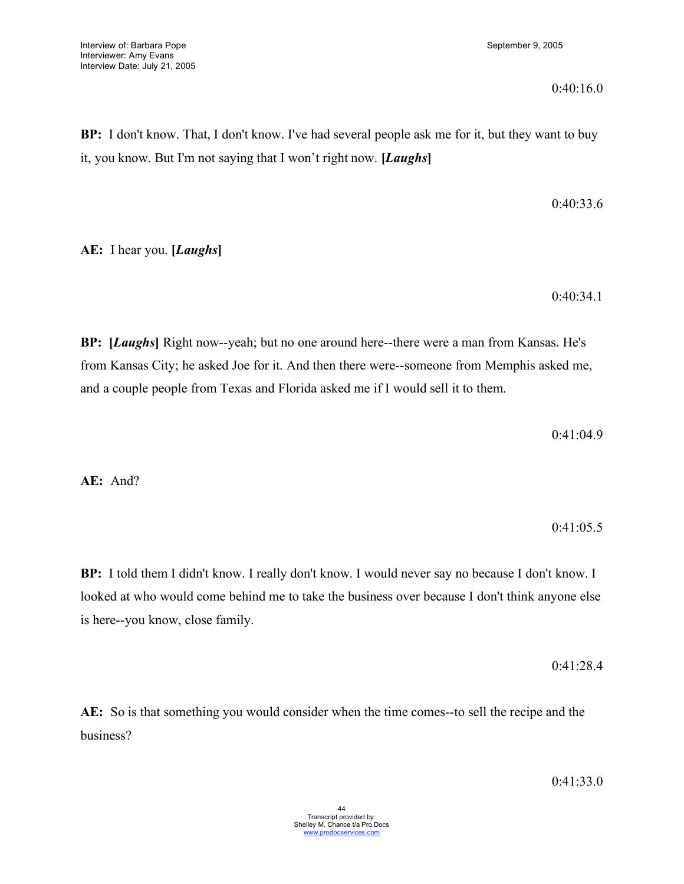**BP:** I don't know. That, I don't know. I've had several people ask me for it, but they want to buy it, you know. But I'm not saying that I won't right now. **[***Laughs***]**

$$
0.40\overset{\cdot}{.}33.6
$$

**AE:** I hear you. **[***Laughs***]**

0:40:34.1

**BP: [***Laughs***]** Right now--yeah; but no one around here--there were a man from Kansas. He's from Kansas City; he asked Joe for it. And then there were--someone from Memphis asked me, and a couple people from Texas and Florida asked me if I would sell it to them.

0:41:04.9

**AE:** And?

0:41:05.5

**BP:** I told them I didn't know. I really don't know. I would never say no because I don't know. I looked at who would come behind me to take the business over because I don't think anyone else is here--you know, close family.

0:41:28.4

**AE:** So is that something you would consider when the time comes--to sell the recipe and the business?

0:41:33.0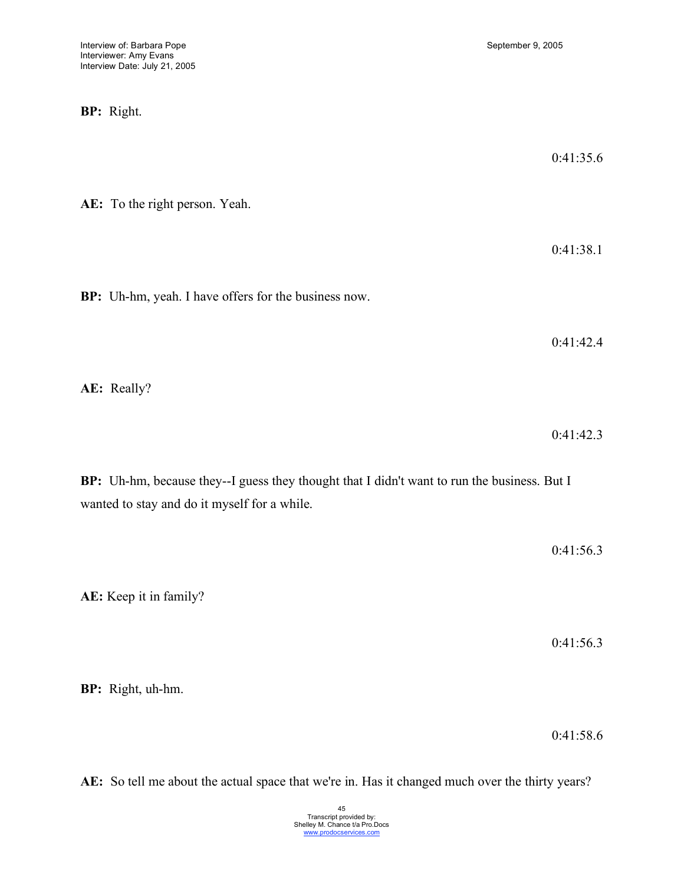**BP:** Right.

0:41:35.6

**AE:** To the right person. Yeah.

0:41:38.1

**BP:** Uh-hm, yeah. I have offers for the business now.

0:41:42.4

**AE:** Really?

0:41:42.3

**BP:** Uh-hm, because they--I guess they thought that I didn't want to run the business. But I wanted to stay and do it myself for a while.

|                        | 0:41:56.3 |
|------------------------|-----------|
| AE: Keep it in family? |           |
|                        | 0:41:56.3 |
| BP: Right, uh-hm.      |           |

0:41:58.6

**AE:** So tell me about the actual space that we're in. Has it changed much over the thirty years?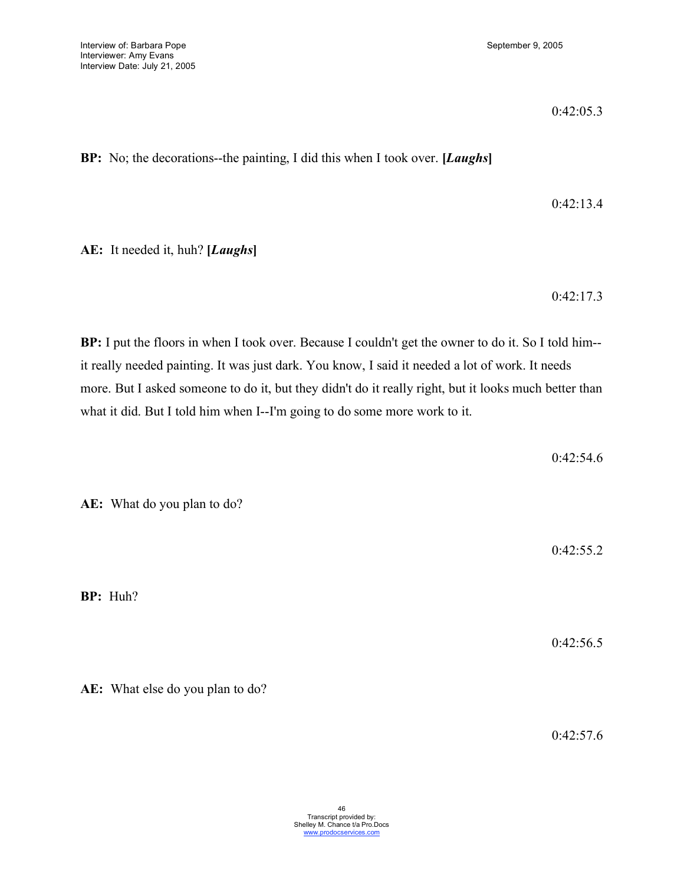0:42:05.3

**BP:** No; the decorations--the painting, I did this when I took over. **[***Laughs***]**

0:42:13.4

**AE:** It needed it, huh? **[***Laughs***]**

0:42:17.3

**BP:** I put the floors in when I took over. Because I couldn't get the owner to do it. So I told him- it really needed painting. It was just dark. You know, I said it needed a lot of work. It needs more. But I asked someone to do it, but they didn't do it really right, but it looks much better than what it did. But I told him when I--I'm going to do some more work to it.

0:42:54.6 **AE:** What do you plan to do? 0:42:55.2 **BP:** Huh? 0:42:56.5

0:42:57.6

**AE:** What else do you plan to do?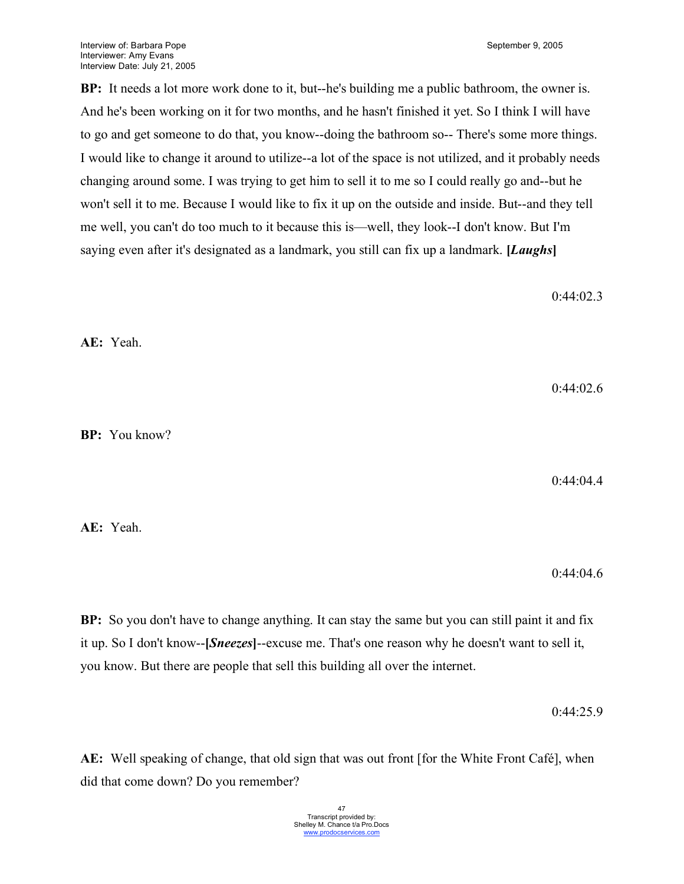**BP:** It needs a lot more work done to it, but--he's building me a public bathroom, the owner is. And he's been working on it for two months, and he hasn't finished it yet. So I think I will have to go and get someone to do that, you know--doing the bathroom so-- There's some more things. I would like to change it around to utilize--a lot of the space is not utilized, and it probably needs changing around some. I was trying to get him to sell it to me so I could really go and--but he won't sell it to me. Because I would like to fix it up on the outside and inside. But--and they tell me well, you can't do too much to it because this is—well, they look--I don't know. But I'm saying even after it's designated as a landmark, you still can fix up a landmark. **[***Laughs***]**

0:44:02.3

**AE:** Yeah.

0:44:02.6

**BP:** You know?

0:44:04.4

**AE:** Yeah.

0:44:04.6

**BP:** So you don't have to change anything. It can stay the same but you can still paint it and fix it up. So I don't know--**[***Sneezes***]**--excuse me. That's one reason why he doesn't want to sell it, you know. But there are people that sell this building all over the internet.

0:44:25.9

**AE:** Well speaking of change, that old sign that was out front [for the White Front Café], when did that come down? Do you remember?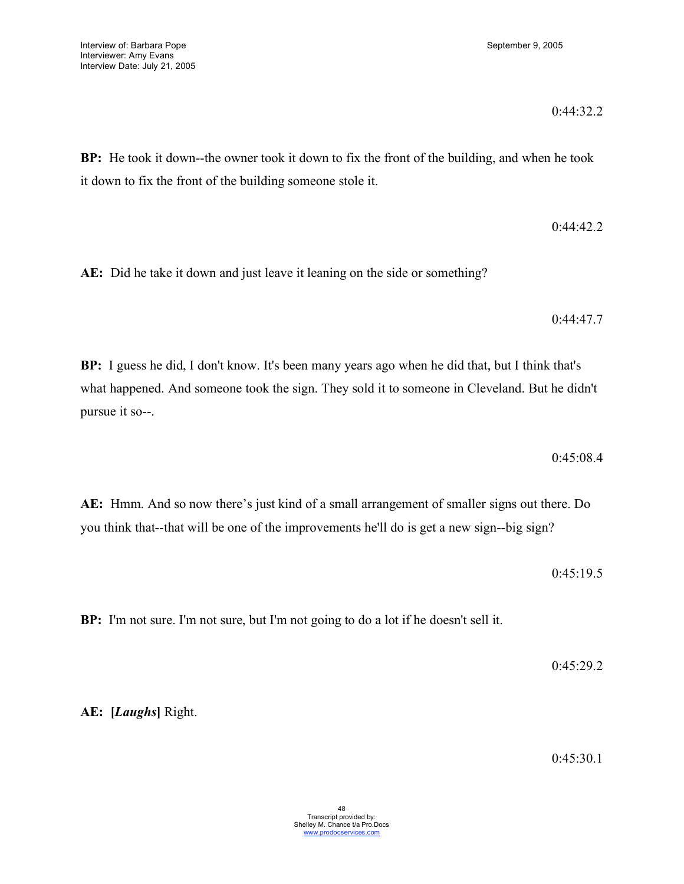**BP:** He took it down--the owner took it down to fix the front of the building, and when he took it down to fix the front of the building someone stole it.

**AE:** Did he take it down and just leave it leaning on the side or something?

0:44:47.7

0:44:42.2

**BP:** I guess he did, I don't know. It's been many years ago when he did that, but I think that's what happened. And someone took the sign. They sold it to someone in Cleveland. But he didn't pursue it so--.

0:45:08.4

**AE:** Hmm. And so now there's just kind of a small arrangement of smaller signs out there. Do you think that--that will be one of the improvements he'll do is get a new sign--big sign?

0:45:19.5

**BP:** I'm not sure. I'm not sure, but I'm not going to do a lot if he doesn't sell it.

0:45:29.2

**AE: [***Laughs***]** Right.

0:45:30.1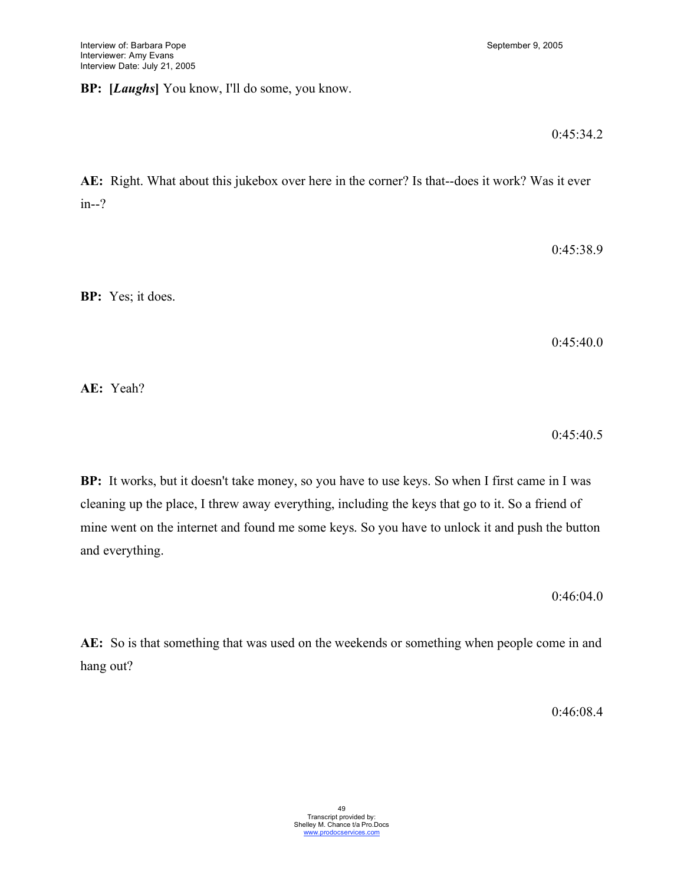# **BP: [***Laughs***]** You know, I'll do some, you know.

### 0:45:34.2

**AE:** Right. What about this jukebox over here in the corner? Is that--does it work? Was it ever in--?

0:45:38.9

**BP:** Yes; it does.

0:45:40.0

**AE:** Yeah?

0:45:40.5

**BP:** It works, but it doesn't take money, so you have to use keys. So when I first came in I was cleaning up the place, I threw away everything, including the keys that go to it. So a friend of mine went on the internet and found me some keys. So you have to unlock it and push the button and everything.

0:46:04.0

**AE:** So is that something that was used on the weekends or something when people come in and hang out?

0:46:08.4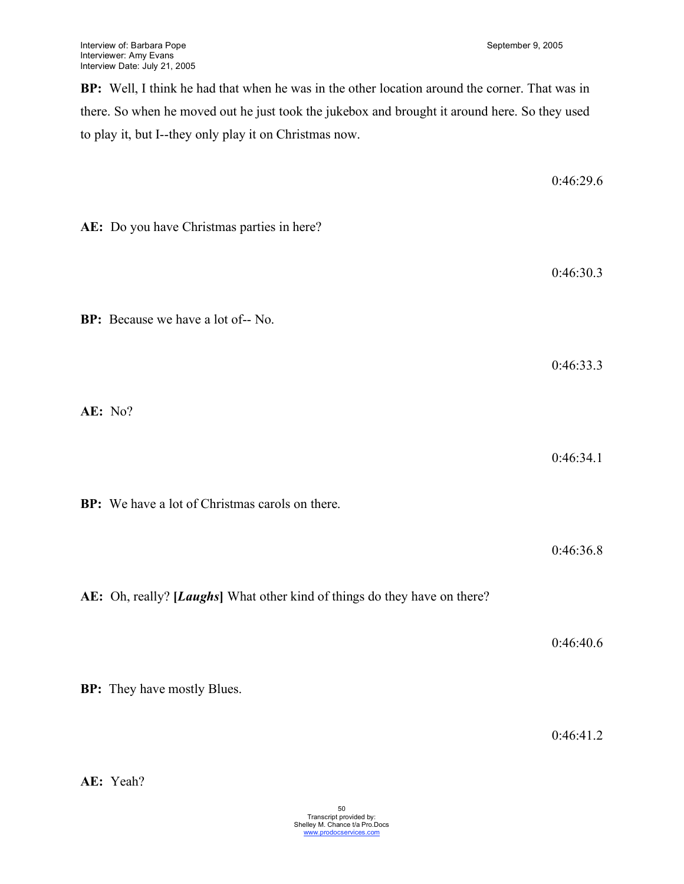0:46:29.6

**BP:** Well, I think he had that when he was in the other location around the corner. That was in there. So when he moved out he just took the jukebox and brought it around here. So they used to play it, but I--they only play it on Christmas now.

| AE: Do you have Christmas parties in here?                                |           |
|---------------------------------------------------------------------------|-----------|
|                                                                           | 0:46:30.3 |
| BP: Because we have a lot of-- No.                                        |           |
|                                                                           | 0:46:33.3 |
| AE: No?                                                                   |           |
|                                                                           | 0:46:34.1 |
| BP: We have a lot of Christmas carols on there.                           |           |
|                                                                           | 0:46:36.8 |
| AE: Oh, really? [Laughs] What other kind of things do they have on there? |           |
|                                                                           | 0:46:40.6 |
| <b>BP:</b> They have mostly Blues.                                        |           |

0:46:41.2

**AE:** Yeah?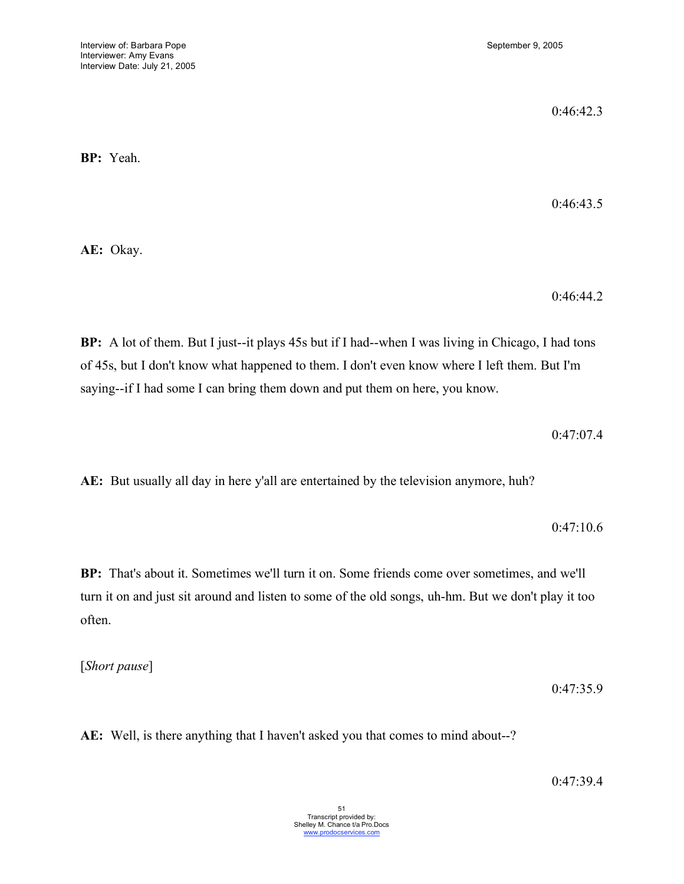0:46:42.3

**BP:** Yeah.

0:46:43.5

**AE:** Okay.

0:46:44.2

**BP:** A lot of them. But I just--it plays 45s but if I had--when I was living in Chicago, I had tons of 45s, but I don't know what happened to them. I don't even know where I left them. But I'm saying--if I had some I can bring them down and put them on here, you know.

0:47:07.4

**AE:** But usually all day in here y'all are entertained by the television anymore, huh?

0:47:10.6

**BP:** That's about it. Sometimes we'll turn it on. Some friends come over sometimes, and we'll turn it on and just sit around and listen to some of the old songs, uh-hm. But we don't play it too often.

[*Short pause*]

0:47:35.9

**AE:** Well, is there anything that I haven't asked you that comes to mind about--?

0:47:39.4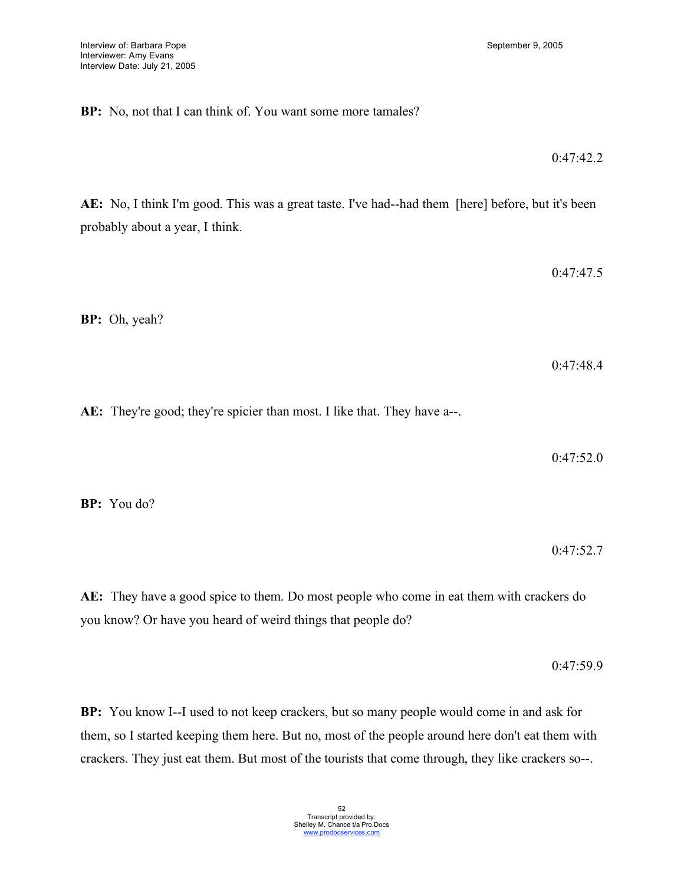**BP:** No, not that I can think of. You want some more tamales?

**AE:** No, I think I'm good. This was a great taste. I've had--had them [here] before, but it's been probably about a year, I think.

**BP:** Oh, yeah?

**AE:** They're good; they're spicier than most. I like that. They have a--.

0:47:52.0

**BP:** You do?

0:47:52.7

**AE:** They have a good spice to them. Do most people who come in eat them with crackers do you know? Or have you heard of weird things that people do?

0:47:59.9

**BP:** You know I--I used to not keep crackers, but so many people would come in and ask for them, so I started keeping them here. But no, most of the people around here don't eat them with crackers. They just eat them. But most of the tourists that come through, they like crackers so--.

0:47:47.5

0:47:48.4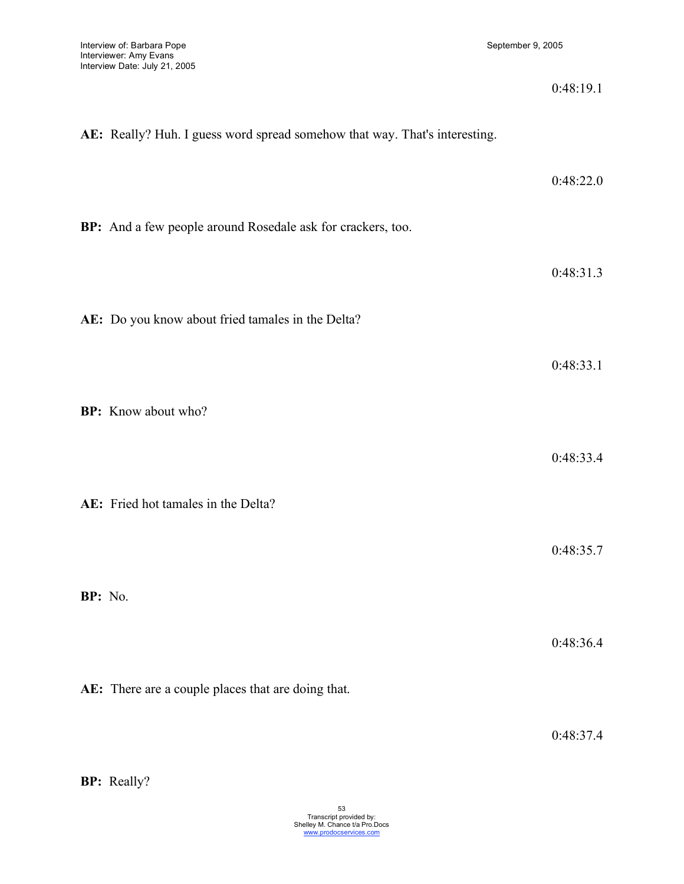|         |                                                                            | 0:48:19.1 |
|---------|----------------------------------------------------------------------------|-----------|
|         | AE: Really? Huh. I guess word spread somehow that way. That's interesting. |           |
|         |                                                                            | 0:48:22.0 |
|         | BP: And a few people around Rosedale ask for crackers, too.                |           |
|         |                                                                            | 0:48:31.3 |
|         | AE: Do you know about fried tamales in the Delta?                          |           |
|         |                                                                            | 0:48:33.1 |
|         | <b>BP:</b> Know about who?                                                 |           |
|         |                                                                            | 0:48:33.4 |
|         | AE: Fried hot tamales in the Delta?                                        |           |
|         |                                                                            | 0:48:35.7 |
| BP: No. |                                                                            |           |
|         |                                                                            | 0:48:36.4 |
|         | AE: There are a couple places that are doing that.                         |           |

0:48:37.4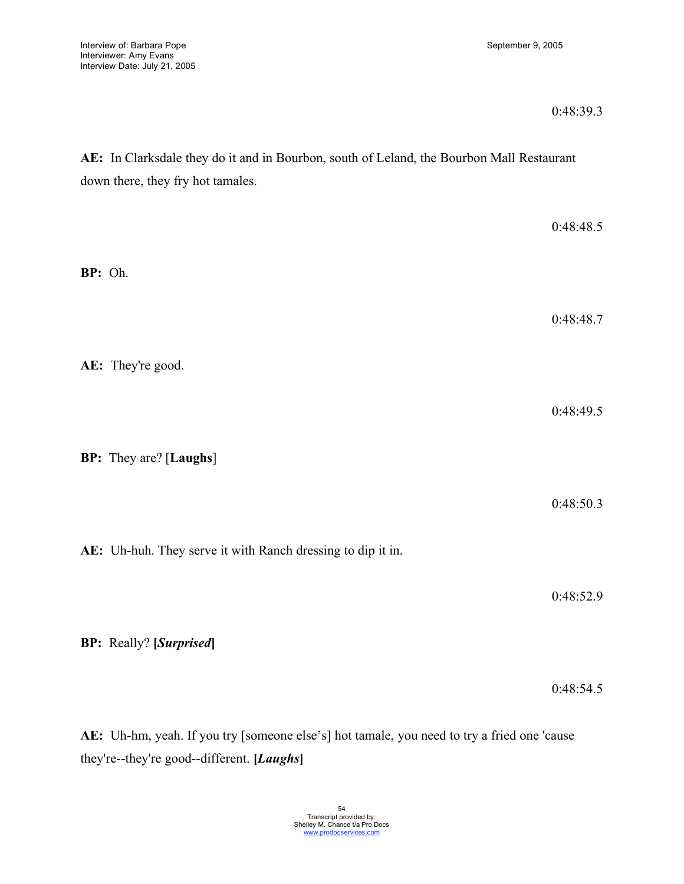| 0:48:39.3 |
|-----------|
|-----------|

0:48:54.5

**AE:** In Clarksdale they do it and in Bourbon, south of Leland, the Bourbon Mall Restaurant down there, they fry hot tamales.

| BP: Oh. |                                                             | 0:48:48.5 |
|---------|-------------------------------------------------------------|-----------|
|         | AE: They're good.                                           | 0:48:48.7 |
|         | <b>BP:</b> They are? [Laughs]                               | 0:48:49.5 |
|         | AE: Uh-huh. They serve it with Ranch dressing to dip it in. | 0:48:50.3 |
|         | <b>BP:</b> Really? [Surprised]                              | 0:48:52.9 |

**AE:** Uh-hm, yeah. If you try [someone else's] hot tamale, you need to try a fried one 'cause they're--they're good--different. **[***Laughs***]**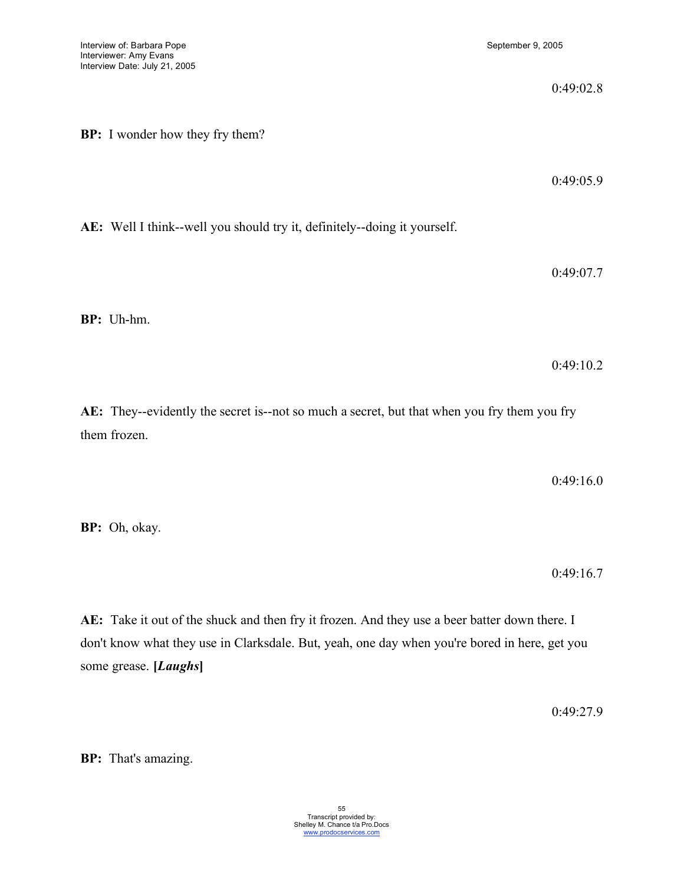|                                                                                                             | 0:49:02.8 |
|-------------------------------------------------------------------------------------------------------------|-----------|
| <b>BP:</b> I wonder how they fry them?                                                                      |           |
|                                                                                                             | 0:49:05.9 |
| AE: Well I think--well you should try it, definitely--doing it yourself.                                    |           |
|                                                                                                             | 0:49:07.7 |
| BP: Uh-hm.                                                                                                  |           |
|                                                                                                             | 0:49:10.2 |
| AE: They--evidently the secret is--not so much a secret, but that when you fry them you fry<br>them frozen. |           |

0:49:16.0

**BP:** Oh, okay.

0:49:16.7

**AE:** Take it out of the shuck and then fry it frozen. And they use a beer batter down there. I don't know what they use in Clarksdale. But, yeah, one day when you're bored in here, get you some grease. **[***Laughs***]**

0:49:27.9

**BP:** That's amazing.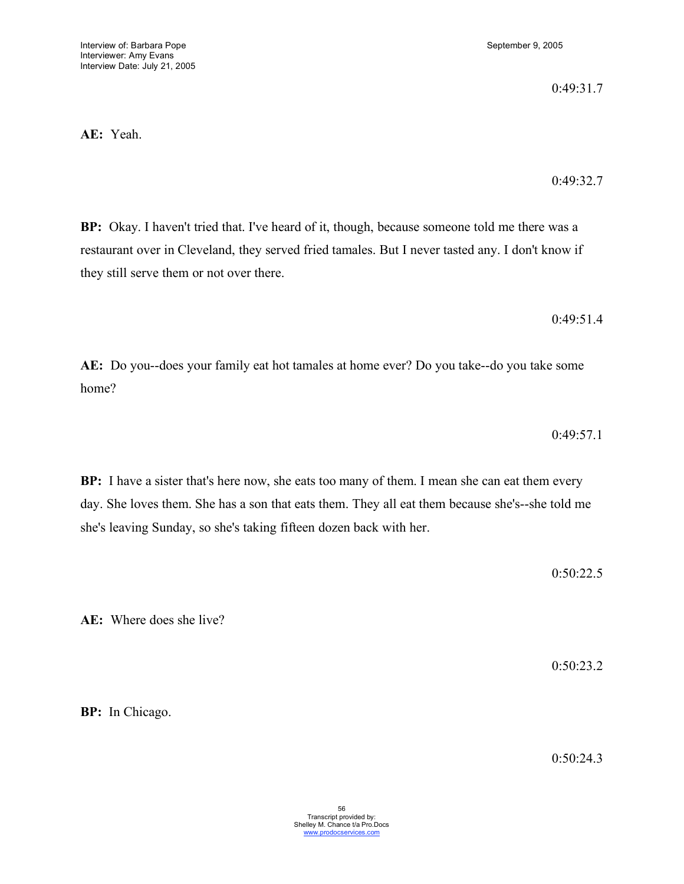**AE:** Yeah.

0:49:31.7

0:49:32.7

**BP:** Okay. I haven't tried that. I've heard of it, though, because someone told me there was a restaurant over in Cleveland, they served fried tamales. But I never tasted any. I don't know if they still serve them or not over there.

0:49:51.4

**AE:** Do you--does your family eat hot tamales at home ever? Do you take--do you take some home?

0:49:57.1

**BP:** I have a sister that's here now, she eats too many of them. I mean she can eat them every day. She loves them. She has a son that eats them. They all eat them because she's--she told me she's leaving Sunday, so she's taking fifteen dozen back with her.

0:50:22.5

**AE:** Where does she live?

0:50:23.2

**BP:** In Chicago.

0:50:24.3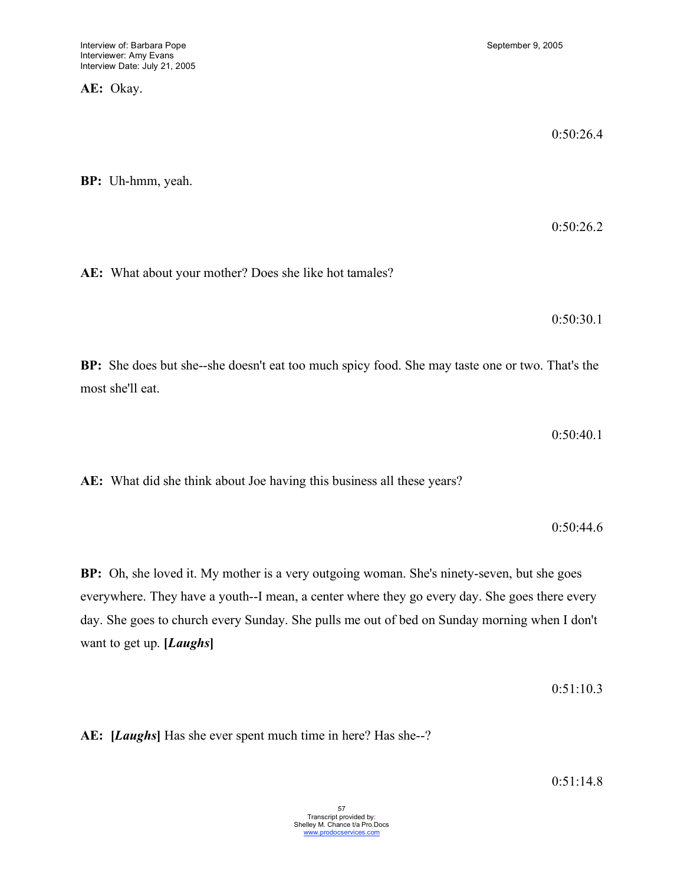**AE:** Okay.

0:50:26.4 **BP:** Uh-hmm, yeah. 0:50:26.2 **AE:** What about your mother? Does she like hot tamales? 0:50:30.1 **BP:** She does but she--she doesn't eat too much spicy food. She may taste one or two. That's the most she'll eat. 0:50:40.1 **AE:** What did she think about Joe having this business all these years? 0:50:44.6

**BP:** Oh, she loved it. My mother is a very outgoing woman. She's ninety-seven, but she goes everywhere. They have a youth--I mean, a center where they go every day. She goes there every day. She goes to church every Sunday. She pulls me out of bed on Sunday morning when I don't want to get up. **[***Laughs***]**

0:51:10.3

**AE: [***Laughs***]** Has she ever spent much time in here? Has she--?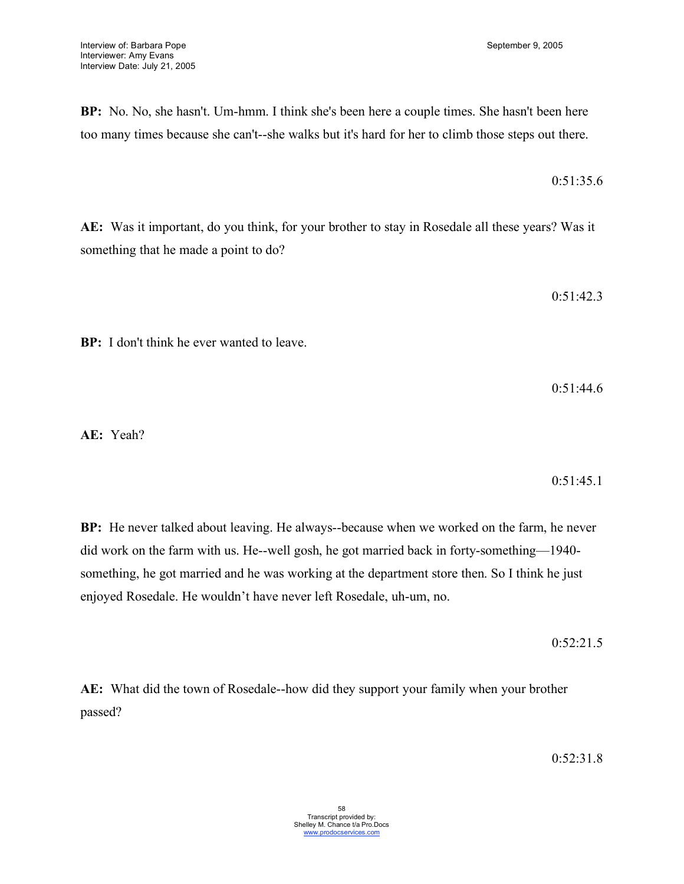**BP:** No. No, she hasn't. Um-hmm. I think she's been here a couple times. She hasn't been here

too many times because she can't--she walks but it's hard for her to climb those steps out there.

**AE:** Was it important, do you think, for your brother to stay in Rosedale all these years? Was it something that he made a point to do?

0:51:42.3

 $0.51.35.6$ 

**BP:** I don't think he ever wanted to leave.

0:51:44.6

**AE:** Yeah?

 $0.51.45.1$ 

**BP:** He never talked about leaving. He always--because when we worked on the farm, he never did work on the farm with us. He--well gosh, he got married back in forty-something—1940 something, he got married and he was working at the department store then. So I think he just enjoyed Rosedale. He wouldn't have never left Rosedale, uh-um, no.

0:52:21.5

**AE:** What did the town of Rosedale--how did they support your family when your brother passed?

 $0.52.31.8$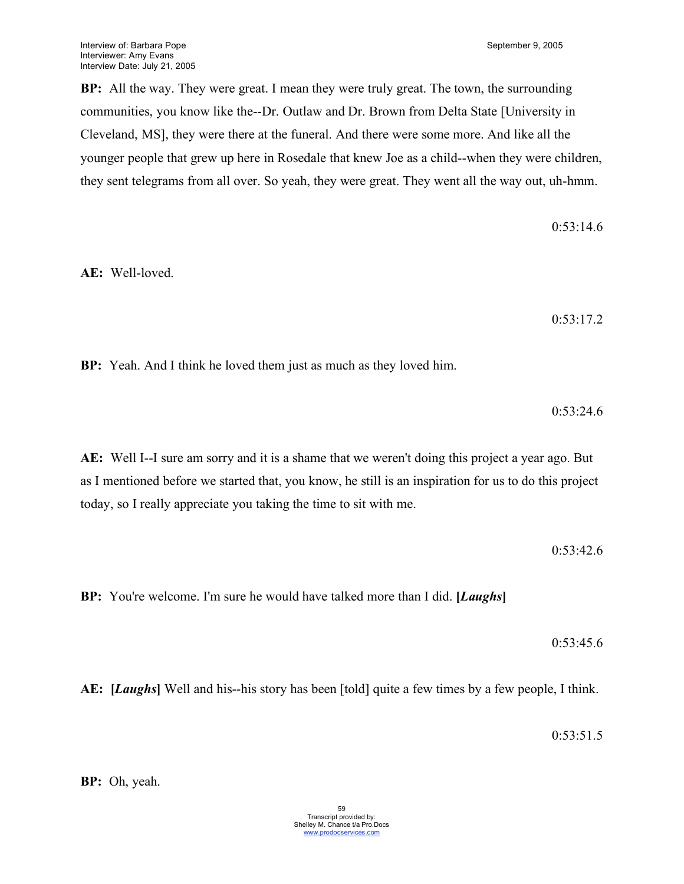**BP:** All the way. They were great. I mean they were truly great. The town, the surrounding communities, you know like the--Dr. Outlaw and Dr. Brown from Delta State [University in Cleveland, MS], they were there at the funeral. And there were some more. And like all the younger people that grew up here in Rosedale that knew Joe as a child--when they were children, they sent telegrams from all over. So yeah, they were great. They went all the way out, uh-hmm.

0:53:14.6 **AE:** Well-loved. 0:53:17.2 **BP:** Yeah. And I think he loved them just as much as they loved him. 0:53:24.6

**AE:** Well I--I sure am sorry and it is a shame that we weren't doing this project a year ago. But as I mentioned before we started that, you know, he still is an inspiration for us to do this project today, so I really appreciate you taking the time to sit with me.

0:53:42.6

**BP:** You're welcome. I'm sure he would have talked more than I did. **[***Laughs***]**

0:53:45.6

**AE: [***Laughs***]** Well and his--his story has been [told] quite a few times by a few people, I think.

0:53:51.5

**BP:** Oh, yeah.